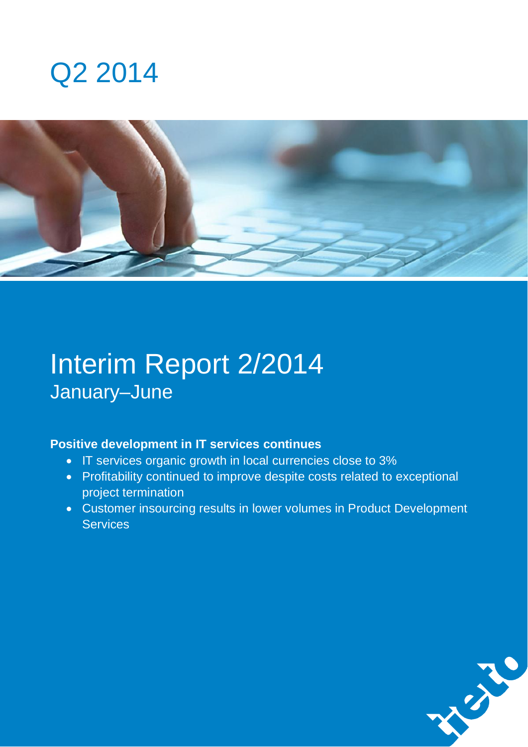



# Interim Report 2/2014 January–June

### **Positive development in IT services continues**

- IT services organic growth in local currencies close to 3%
- Profitability continued to improve despite costs related to exceptional project termination
- Customer insourcing results in lower volumes in Product Development **Services**

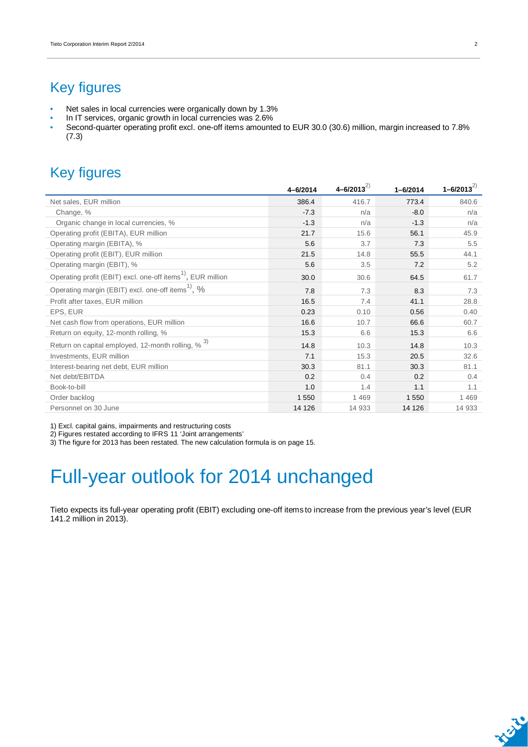## Key figures

- Net sales in local currencies were organically down by 1.3%
- In IT services, organic growth in local currencies was 2.6%
- Second-quarter operating profit excl. one-off items amounted to EUR 30.0 (30.6) million, margin increased to 7.8% (7.3)

## Key figures

|                                                                         | 4-6/2014 | $4 - 6/2013^{2}$ | $1 - 6/2014$ | $1 - 6/2013^{2}$ |
|-------------------------------------------------------------------------|----------|------------------|--------------|------------------|
| Net sales, EUR million                                                  | 386.4    | 416.7            | 773.4        | 840.6            |
| Change, %                                                               | $-7.3$   | n/a              | $-8.0$       | n/a              |
| Organic change in local currencies, %                                   | $-1.3$   | n/a              | $-1.3$       | n/a              |
| Operating profit (EBITA), EUR million                                   | 21.7     | 15.6             | 56.1         | 45.9             |
| Operating margin (EBITA), %                                             | 5.6      | 3.7              | 7.3          | 5.5              |
| Operating profit (EBIT), EUR million                                    | 21.5     | 14.8             | 55.5         | 44.1             |
| Operating margin (EBIT), %                                              | 5.6      | 3.5              | 7.2          | 5.2              |
| Operating profit (EBIT) excl. one-off items <sup>1)</sup> , EUR million | 30.0     | 30.6             | 64.5         | 61.7             |
| Operating margin (EBIT) excl. one-off items <sup>1)</sup> , %           | 7.8      | 7.3              | 8.3          | 7.3              |
| Profit after taxes, EUR million                                         | 16.5     | 7.4              | 41.1         | 28.8             |
| EPS, EUR                                                                | 0.23     | 0.10             | 0.56         | 0.40             |
| Net cash flow from operations, EUR million                              | 16.6     | 10.7             | 66.6         | 60.7             |
| Return on equity, 12-month rolling, %                                   | 15.3     | 6.6              | 15.3         | 6.6              |
| Return on capital employed, 12-month rolling, % 3)                      | 14.8     | 10.3             | 14.8         | 10.3             |
| Investments, EUR million                                                | 7.1      | 15.3             | 20.5         | 32.6             |
| Interest-bearing net debt, EUR million                                  | 30.3     | 81.1             | 30.3         | 81.1             |
| Net debt/EBITDA                                                         | 0.2      | 0.4              | 0.2          | 0.4              |
| Book-to-bill                                                            | 1.0      | 1.4              | 1.1          | 1.1              |
| Order backlog                                                           | 1 5 5 0  | 1 4 6 9          | 1550         | 1 4 6 9          |
| Personnel on 30 June                                                    | 14 126   | 14 933           | 14 126       | 14 933           |

1) Excl. capital gains, impairments and restructuring costs

2) Figures restated according to IFRS 11 'Joint arrangements'

3) The figure for 2013 has been restated. The new calculation formula is on page 15.

# Full-year outlook for 2014 unchanged

Tieto expects its full-year operating profit (EBIT) excluding one-off items to increase from the previous year's level (EUR 141.2 million in 2013).

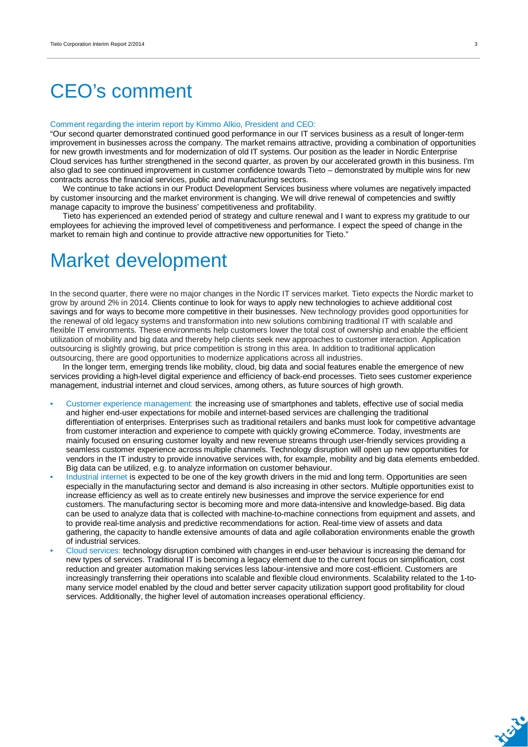# CEO's comment

#### Comment regarding the interim report by Kimmo Alkio, President and CEO:

"Our second quarter demonstrated continued good performance in our IT services business as a result of longer-term improvement in businesses across the company. The market remains attractive, providing a combination of opportunities for new growth investments and for modernization of old IT systems. Our position as the leader in Nordic Enterprise Cloud services has further strengthened in the second quarter, as proven by our accelerated growth in this business. I'm also glad to see continued improvement in customer confidence towards Tieto – demonstrated by multiple wins for new contracts across the financial services, public and manufacturing sectors.

We continue to take actions in our Product Development Services business where volumes are negatively impacted by customer insourcing and the market environment is changing. We will drive renewal of competencies and swiftly manage capacity to improve the business' competitiveness and profitability.

Tieto has experienced an extended period of strategy and culture renewal and I want to express my gratitude to our employees for achieving the improved level of competitiveness and performance. I expect the speed of change in the market to remain high and continue to provide attractive new opportunities for Tieto."

## Market development

In the second quarter, there were no major changes in the Nordic IT services market. Tieto expects the Nordic market to grow by around 2% in 2014. Clients continue to look for ways to apply new technologies to achieve additional cost savings and for ways to become more competitive in their businesses. New technology provides good opportunities for the renewal of old legacy systems and transformation into new solutions combining traditional IT with scalable and flexible IT environments. These environments help customers lower the total cost of ownership and enable the efficient utilization of mobility and big data and thereby help clients seek new approaches to customer interaction. Application outsourcing is slightly growing, but price competition is strong in this area. In addition to traditional application outsourcing, there are good opportunities to modernize applications across all industries.

In the longer term, emerging trends like mobility, cloud, big data and social features enable the emergence of new services providing a high-level digital experience and efficiency of back-end processes. Tieto sees customer experience management, industrial internet and cloud services, among others, as future sources of high growth.

- Customer experience management: the increasing use of smartphones and tablets, effective use of social media and higher end-user expectations for mobile and internet-based services are challenging the traditional differentiation of enterprises. Enterprises such as traditional retailers and banks must look for competitive advantage from customer interaction and experience to compete with quickly growing eCommerce. Today, investments are mainly focused on ensuring customer loyalty and new revenue streams through user-friendly services providing a seamless customer experience across multiple channels. Technology disruption will open up new opportunities for vendors in the IT industry to provide innovative services with, for example, mobility and big data elements embedded. Big data can be utilized, e.g. to analyze information on customer behaviour.
- Industrial internet is expected to be one of the key growth drivers in the mid and long term. Opportunities are seen especially in the manufacturing sector and demand is also increasing in other sectors. Multiple opportunities exist to increase efficiency as well as to create entirely new businesses and improve the service experience for end customers. The manufacturing sector is becoming more and more data-intensive and knowledge-based. Big data can be used to analyze data that is collected with machine-to-machine connections from equipment and assets, and to provide real-time analysis and predictive recommendations for action. Real-time view of assets and data gathering, the capacity to handle extensive amounts of data and agile collaboration environments enable the growth of industrial services.
- Cloud services: technology disruption combined with changes in end-user behaviour is increasing the demand for new types of services. Traditional IT is becoming a legacy element due to the current focus on simplification, cost reduction and greater automation making services less labour-intensive and more cost-efficient. Customers are increasingly transferring their operations into scalable and flexible cloud environments. Scalability related to the 1-tomany service model enabled by the cloud and better server capacity utilization support good profitability for cloud services. Additionally, the higher level of automation increases operational efficiency.

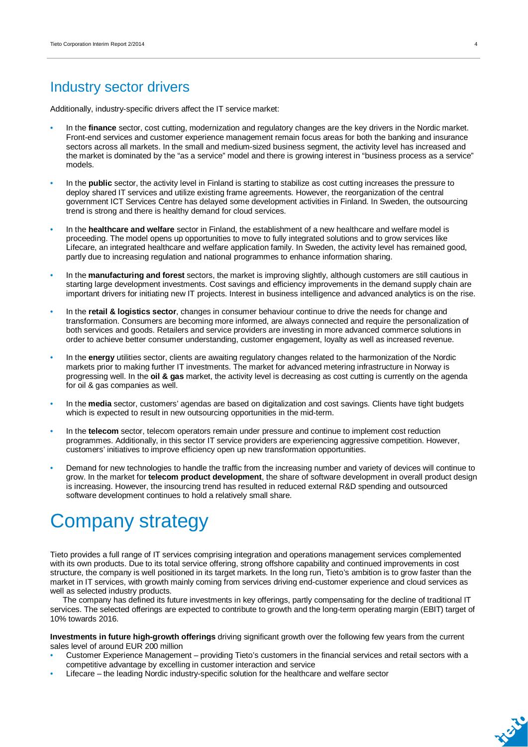### Industry sector drivers

Additionally, industry-specific drivers affect the IT service market:

- In the **finance** sector, cost cutting, modernization and regulatory changes are the key drivers in the Nordic market. Front-end services and customer experience management remain focus areas for both the banking and insurance sectors across all markets. In the small and medium-sized business segment, the activity level has increased and the market is dominated by the "as a service" model and there is growing interest in "business process as a service" models.
- In the **public** sector, the activity level in Finland is starting to stabilize as cost cutting increases the pressure to deploy shared IT services and utilize existing frame agreements. However, the reorganization of the central government ICT Services Centre has delayed some development activities in Finland. In Sweden, the outsourcing trend is strong and there is healthy demand for cloud services.
- In the **healthcare and welfare** sector in Finland, the establishment of a new healthcare and welfare model is proceeding. The model opens up opportunities to move to fully integrated solutions and to grow services like Lifecare, an integrated healthcare and welfare application family. In Sweden, the activity level has remained good, partly due to increasing regulation and national programmes to enhance information sharing.
- In the **manufacturing and forest** sectors, the market is improving slightly, although customers are still cautious in starting large development investments. Cost savings and efficiency improvements in the demand supply chain are important drivers for initiating new IT projects. Interest in business intelligence and advanced analytics is on the rise.
- In the **retail & logistics sector**, changes in consumer behaviour continue to drive the needs for change and transformation. Consumers are becoming more informed, are always connected and require the personalization of both services and goods. Retailers and service providers are investing in more advanced commerce solutions in order to achieve better consumer understanding, customer engagement, loyalty as well as increased revenue.
- In the **energy** utilities sector, clients are awaiting regulatory changes related to the harmonization of the Nordic markets prior to making further IT investments. The market for advanced metering infrastructure in Norway is progressing well. In the **oil & gas** market, the activity level is decreasing as cost cutting is currently on the agenda for oil & gas companies as well.
- In the **media** sector, customers' agendas are based on digitalization and cost savings. Clients have tight budgets which is expected to result in new outsourcing opportunities in the mid-term.
- In the **telecom** sector, telecom operators remain under pressure and continue to implement cost reduction programmes. Additionally, in this sector IT service providers are experiencing aggressive competition. However, customers' initiatives to improve efficiency open up new transformation opportunities.
- Demand for new technologies to handle the traffic from the increasing number and variety of devices will continue to grow. In the market for **telecom product development**, the share of software development in overall product design is increasing. However, the insourcing trend has resulted in reduced external R&D spending and outsourced software development continues to hold a relatively small share.

## Company strategy

Tieto provides a full range of IT services comprising integration and operations management services complemented with its own products. Due to its total service offering, strong offshore capability and continued improvements in cost structure, the company is well positioned in its target markets. In the long run, Tieto's ambition is to grow faster than the market in IT services, with growth mainly coming from services driving end-customer experience and cloud services as well as selected industry products.

The company has defined its future investments in key offerings, partly compensating for the decline of traditional IT services. The selected offerings are expected to contribute to growth and the long-term operating margin (EBIT) target of 10% towards 2016.

**Investments in future high-growth offerings** driving significant growth over the following few years from the current sales level of around EUR 200 million

- Customer Experience Management providing Tieto's customers in the financial services and retail sectors with a competitive advantage by excelling in customer interaction and service
- Lifecare the leading Nordic industry-specific solution for the healthcare and welfare sector

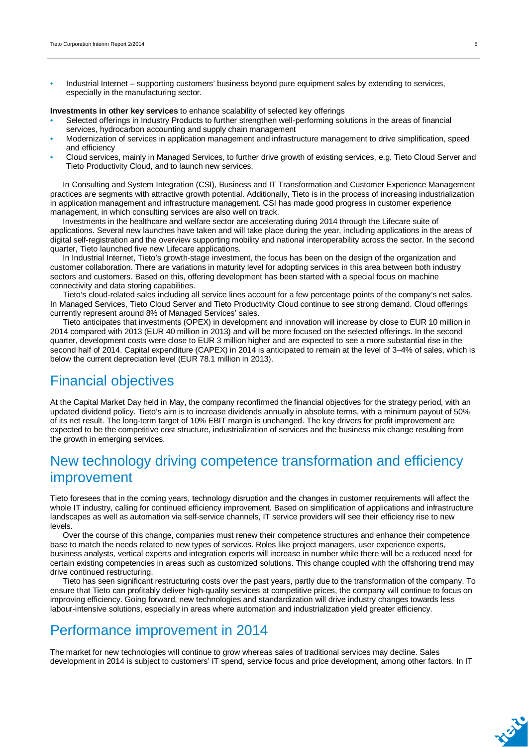• Industrial Internet – supporting customers' business beyond pure equipment sales by extending to services, especially in the manufacturing sector.

**Investments in other key services** to enhance scalability of selected key offerings

- Selected offerings in Industry Products to further strengthen well-performing solutions in the areas of financial services, hydrocarbon accounting and supply chain management
- Modernization of services in application management and infrastructure management to drive simplification, speed and efficiency
- Cloud services, mainly in Managed Services, to further drive growth of existing services, e.g. Tieto Cloud Server and Tieto Productivity Cloud, and to launch new services.

In Consulting and System Integration (CSI), Business and IT Transformation and Customer Experience Management practices are segments with attractive growth potential. Additionally, Tieto is in the process of increasing industrialization in application management and infrastructure management. CSI has made good progress in customer experience management, in which consulting services are also well on track.

Investments in the healthcare and welfare sector are accelerating during 2014 through the Lifecare suite of applications. Several new launches have taken and will take place during the year, including applications in the areas of digital self-registration and the overview supporting mobility and national interoperability across the sector. In the second quarter, Tieto launched five new Lifecare applications.

In Industrial Internet, Tieto's growth-stage investment, the focus has been on the design of the organization and customer collaboration. There are variations in maturity level for adopting services in this area between both industry sectors and customers. Based on this, offering development has been started with a special focus on machine connectivity and data storing capabilities.

Tieto's cloud-related sales including all service lines account for a few percentage points of the company's net sales. In Managed Services, Tieto Cloud Server and Tieto Productivity Cloud continue to see strong demand. Cloud offerings currently represent around 8% of Managed Services' sales.

Tieto anticipates that investments (OPEX) in development and innovation will increase by close to EUR 10 million in 2014 compared with 2013 (EUR 40 million in 2013) and will be more focused on the selected offerings. In the second quarter, development costs were close to EUR 3 million higher and are expected to see a more substantial rise in the second half of 2014. Capital expenditure (CAPEX) in 2014 is anticipated to remain at the level of 3–4% of sales, which is below the current depreciation level (EUR 78.1 million in 2013).

### Financial objectives

At the Capital Market Day held in May, the company reconfirmed the financial objectives for the strategy period, with an updated dividend policy. Tieto's aim is to increase dividends annually in absolute terms, with a minimum payout of 50% of its net result. The long-term target of 10% EBIT margin is unchanged. The key drivers for profit improvement are expected to be the competitive cost structure, industrialization of services and the business mix change resulting from the growth in emerging services.

### New technology driving competence transformation and efficiency improvement

Tieto foresees that in the coming years, technology disruption and the changes in customer requirements will affect the whole IT industry, calling for continued efficiency improvement. Based on simplification of applications and infrastructure landscapes as well as automation via self-service channels, IT service providers will see their efficiency rise to new levels.

Over the course of this change, companies must renew their competence structures and enhance their competence base to match the needs related to new types of services. Roles like project managers, user experience experts, business analysts, vertical experts and integration experts will increase in number while there will be a reduced need for certain existing competencies in areas such as customized solutions. This change coupled with the offshoring trend may drive continued restructuring.

Tieto has seen significant restructuring costs over the past years, partly due to the transformation of the company. To ensure that Tieto can profitably deliver high-quality services at competitive prices, the company will continue to focus on improving efficiency. Going forward, new technologies and standardization will drive industry changes towards less labour-intensive solutions, especially in areas where automation and industrialization yield greater efficiency.

### Performance improvement in 2014

The market for new technologies will continue to grow whereas sales of traditional services may decline. Sales development in 2014 is subject to customers' IT spend, service focus and price development, among other factors. In IT

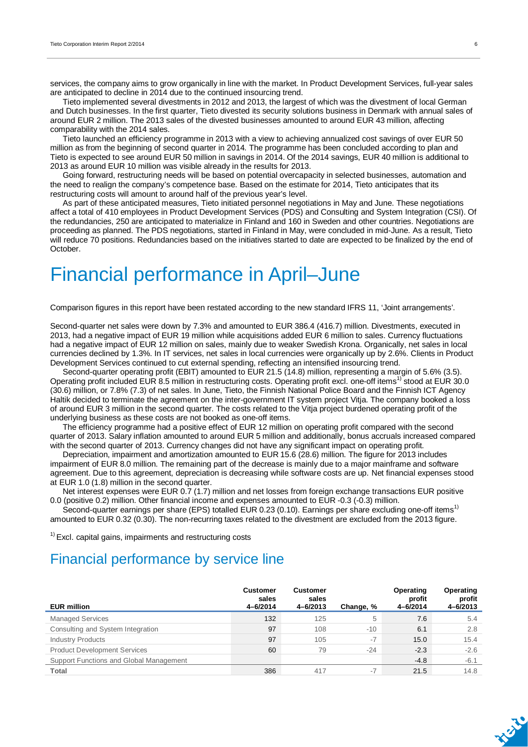services, the company aims to grow organically in line with the market. In Product Development Services, full-year sales are anticipated to decline in 2014 due to the continued insourcing trend.

Tieto implemented several divestments in 2012 and 2013, the largest of which was the divestment of local German and Dutch businesses. In the first quarter, Tieto divested its security solutions business in Denmark with annual sales of around EUR 2 million. The 2013 sales of the divested businesses amounted to around EUR 43 million, affecting comparability with the 2014 sales.

Tieto launched an efficiency programme in 2013 with a view to achieving annualized cost savings of over EUR 50 million as from the beginning of second quarter in 2014. The programme has been concluded according to plan and Tieto is expected to see around EUR 50 million in savings in 2014. Of the 2014 savings, EUR 40 million is additional to 2013 as around EUR 10 million was visible already in the results for 2013.

Going forward, restructuring needs will be based on potential overcapacity in selected businesses, automation and the need to realign the company's competence base. Based on the estimate for 2014, Tieto anticipates that its restructuring costs will amount to around half of the previous year's level.

As part of these anticipated measures, Tieto initiated personnel negotiations in May and June. These negotiations affect a total of 410 employees in Product Development Services (PDS) and Consulting and System Integration (CSI). Of the redundancies, 250 are anticipated to materialize in Finland and 160 in Sweden and other countries. Negotiations are proceeding as planned. The PDS negotiations, started in Finland in May, were concluded in mid-June. As a result, Tieto will reduce 70 positions. Redundancies based on the initiatives started to date are expected to be finalized by the end of October.

## Financial performance in April–June

Comparison figures in this report have been restated according to the new standard IFRS 11, 'Joint arrangements'.

Second-quarter net sales were down by 7.3% and amounted to EUR 386.4 (416.7) million. Divestments, executed in 2013, had a negative impact of EUR 19 million while acquisitions added EUR 6 million to sales. Currency fluctuations had a negative impact of EUR 12 million on sales, mainly due to weaker Swedish Krona. Organically, net sales in local currencies declined by 1.3%. In IT services, net sales in local currencies were organically up by 2.6%. Clients in Product Development Services continued to cut external spending, reflecting an intensified insourcing trend.

Second-quarter operating profit (EBIT) amounted to EUR 21.5 (14.8) million, representing a margin of 5.6% (3.5). Operating profit included EUR 8.5 million in restructuring costs. Operating profit excl. one-off items<sup>1)</sup> stood at EUR 30.0 (30.6) million, or 7.8% (7.3) of net sales. In June, Tieto, the Finnish National Police Board and the Finnish ICT Agency Haltik decided to terminate the agreement on the inter-government IT system project Vitja. The company booked a loss of around EUR 3 million in the second quarter. The costs related to the Vitja project burdened operating profit of the underlying business as these costs are not booked as one-off items.

The efficiency programme had a positive effect of EUR 12 million on operating profit compared with the second quarter of 2013. Salary inflation amounted to around EUR 5 million and additionally, bonus accruals increased compared with the second quarter of 2013. Currency changes did not have any significant impact on operating profit.

Depreciation, impairment and amortization amounted to EUR 15.6 (28.6) million. The figure for 2013 includes impairment of EUR 8.0 million. The remaining part of the decrease is mainly due to a major mainframe and software agreement. Due to this agreement, depreciation is decreasing while software costs are up. Net financial expenses stood at EUR 1.0 (1.8) million in the second quarter.

Net interest expenses were EUR 0.7 (1.7) million and net losses from foreign exchange transactions EUR positive 0.0 (positive 0.2) million. Other financial income and expenses amounted to EUR -0.3 (-0.3) million.

Second-quarter earnings per share (EPS) totalled EUR 0.23 (0.10). Earnings per share excluding one-off items<sup>1)</sup> amounted to EUR 0.32 (0.30). The non-recurring taxes related to the divestment are excluded from the 2013 figure.

 $<sup>1</sup>$  Excl. capital gains, impairments and restructuring costs</sup>

### Financial performance by service line

| <b>EUR million</b>                      | <b>Customer</b><br>sales<br>4-6/2014 | <b>Customer</b><br>sales<br>4-6/2013 | Change, % | Operating<br>profit<br>4-6/2014 | Operating<br>profit<br>4-6/2013 |
|-----------------------------------------|--------------------------------------|--------------------------------------|-----------|---------------------------------|---------------------------------|
| <b>Managed Services</b>                 | 132                                  | 125                                  | 5         | 7.6                             | 5.4                             |
| Consulting and System Integration       | 97                                   | 108                                  | $-10$     | 6.1                             | 2.8                             |
| <b>Industry Products</b>                | 97                                   | 105                                  | $-7$      | 15.0                            | 15.4                            |
| <b>Product Development Services</b>     | 60                                   | 79                                   | $-24$     | $-2.3$                          | $-2.6$                          |
| Support Functions and Global Management |                                      |                                      |           | $-4.8$                          | $-6.1$                          |
| Total                                   | 386                                  | 417                                  | $-7$      | 21.5                            | 14.8                            |

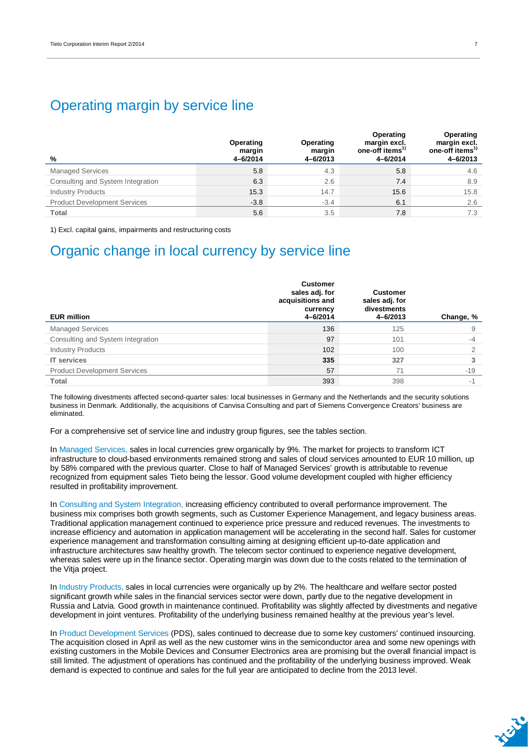### Operating margin by service line

| %                                   | Operating<br>margin<br>4-6/2014 | Operating<br>margin<br>$4 - 6/2013$ | Operating<br>margin excl.<br>one-off items <sup>1</sup><br>4-6/2014 | Operating<br>margin excl.<br>one-off items <sup>17</sup><br>4-6/2013 |
|-------------------------------------|---------------------------------|-------------------------------------|---------------------------------------------------------------------|----------------------------------------------------------------------|
| <b>Managed Services</b>             | 5.8                             | 4.3                                 | 5.8                                                                 | 4.6                                                                  |
| Consulting and System Integration   | 6.3                             | 2.6                                 | 7.4                                                                 | 8.9                                                                  |
| <b>Industry Products</b>            | 15.3                            | 14.7                                | 15.6                                                                | 15.8                                                                 |
| <b>Product Development Services</b> | $-3.8$                          | $-3.4$                              | 6.1                                                                 | 2.6                                                                  |
| Total                               | 5.6                             | 3.5                                 | 7.8                                                                 | 7.3                                                                  |

1) Excl. capital gains, impairments and restructuring costs

## Organic change in local currency by service line

| <b>EUR million</b>                  | <b>Customer</b><br>sales adj. for<br>acquisitions and<br>currency<br>4-6/2014 | <b>Customer</b><br>sales adj. for<br>divestments<br>4-6/2013 | Change, % |
|-------------------------------------|-------------------------------------------------------------------------------|--------------------------------------------------------------|-----------|
| <b>Managed Services</b>             | 136                                                                           | 125                                                          | 9         |
| Consulting and System Integration   | 97                                                                            | 101                                                          | $-4$      |
| <b>Industry Products</b>            | 102                                                                           | 100                                                          | $\Omega$  |
| <b>IT</b> services                  | 335                                                                           | 327                                                          |           |
| <b>Product Development Services</b> | 57                                                                            | 71                                                           | $-19$     |
| <b>Total</b>                        | 393                                                                           | 398                                                          | $-1$      |

The following divestments affected second-quarter sales: local businesses in Germany and the Netherlands and the security solutions business in Denmark. Additionally, the acquisitions of Canvisa Consulting and part of Siemens Convergence Creators' business are eliminated.

For a comprehensive set of service line and industry group figures, see the tables section.

In Managed Services, sales in local currencies grew organically by 9%. The market for projects to transform ICT infrastructure to cloud-based environments remained strong and sales of cloud services amounted to EUR 10 million, up by 58% compared with the previous quarter. Close to half of Managed Services' growth is attributable to revenue recognized from equipment sales Tieto being the lessor. Good volume development coupled with higher efficiency resulted in profitability improvement.

In Consulting and System Integration, increasing efficiency contributed to overall performance improvement. The business mix comprises both growth segments, such as Customer Experience Management, and legacy business areas. Traditional application management continued to experience price pressure and reduced revenues. The investments to increase efficiency and automation in application management will be accelerating in the second half. Sales for customer experience management and transformation consulting aiming at designing efficient up-to-date application and infrastructure architectures saw healthy growth. The telecom sector continued to experience negative development, whereas sales were up in the finance sector. Operating margin was down due to the costs related to the termination of the Vitja project.

In Industry Products, sales in local currencies were organically up by 2%. The healthcare and welfare sector posted significant growth while sales in the financial services sector were down, partly due to the negative development in Russia and Latvia. Good growth in maintenance continued. Profitability was slightly affected by divestments and negative development in joint ventures. Profitability of the underlying business remained healthy at the previous year's level.

In Product Development Services (PDS), sales continued to decrease due to some key customers' continued insourcing. The acquisition closed in April as well as the new customer wins in the semiconductor area and some new openings with existing customers in the Mobile Devices and Consumer Electronics area are promising but the overall financial impact is still limited. The adjustment of operations has continued and the profitability of the underlying business improved. Weak demand is expected to continue and sales for the full year are anticipated to decline from the 2013 level.

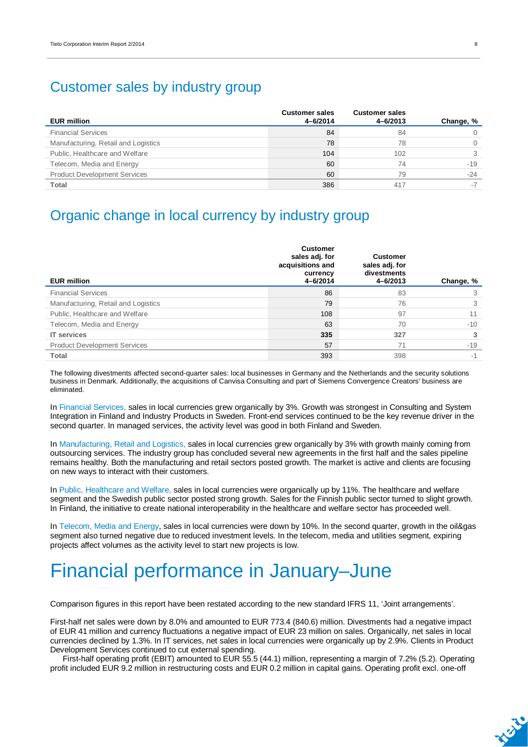### Customer sales by industry group

| <b>EUR million</b>                  | <b>Customer sales</b><br>4-6/2014 | <b>Customer sales</b><br>4-6/2013 | Change, % |
|-------------------------------------|-----------------------------------|-----------------------------------|-----------|
| <b>Financial Services</b>           | 84                                | 84                                |           |
| Manufacturing, Retail and Logistics | 78                                | 78                                |           |
| Public, Healthcare and Welfare      | 104                               | 102                               |           |
| Telecom, Media and Energy           | 60                                | 74                                | $-19$     |
| <b>Product Development Services</b> | 60                                | 79                                | $-24$     |
| Total                               | 386                               | 417                               |           |

### Organic change in local currency by industry group

| <b>EUR million</b>                  | <b>Customer</b><br>sales adj. for<br>acquisitions and<br>currency<br>4-6/2014 | <b>Customer</b><br>sales adj. for<br>divestments<br>4-6/2013 | Change, % |
|-------------------------------------|-------------------------------------------------------------------------------|--------------------------------------------------------------|-----------|
| <b>Financial Services</b>           | 86                                                                            | 83                                                           | 3         |
| Manufacturing, Retail and Logistics | 79                                                                            | 76                                                           | 3         |
| Public, Healthcare and Welfare      | 108                                                                           | 97                                                           | 11        |
| Telecom, Media and Energy           | 63                                                                            | 70                                                           | $-10$     |
| <b>IT services</b>                  | 335                                                                           | 327                                                          | 3         |
| <b>Product Development Services</b> | 57                                                                            | 71                                                           | $-19$     |
| Total                               | 393                                                                           | 398                                                          | $-1$      |

The following divestments affected second-quarter sales: local businesses in Germany and the Netherlands and the security solutions business in Denmark. Additionally, the acquisitions of Canvisa Consulting and part of Siemens Convergence Creators' business are eliminated.

In Financial Services, sales in local currencies grew organically by 3%. Growth was strongest in Consulting and System Integration in Finland and Industry Products in Sweden. Front-end services continued to be the key revenue driver in the second quarter. In managed services, the activity level was good in both Finland and Sweden.

In Manufacturing, Retail and Logistics, sales in local currencies grew organically by 3% with growth mainly coming from outsourcing services. The industry group has concluded several new agreements in the first half and the sales pipeline remains healthy. Both the manufacturing and retail sectors posted growth. The market is active and clients are focusing on new ways to interact with their customers.

In Public, Healthcare and Welfare, sales in local currencies were organically up by 11%. The healthcare and welfare segment and the Swedish public sector posted strong growth. Sales for the Finnish public sector turned to slight growth. In Finland, the initiative to create national interoperability in the healthcare and welfare sector has proceeded well.

In Telecom, Media and Energy, sales in local currencies were down by 10%. In the second quarter, growth in the oil&gas segment also turned negative due to reduced investment levels. In the telecom, media and utilities segment, expiring projects affect volumes as the activity level to start new projects is low.

# Financial performance in January–June

Comparison figures in this report have been restated according to the new standard IFRS 11, 'Joint arrangements'.

First-half net sales were down by 8.0% and amounted to EUR 773.4 (840.6) million. Divestments had a negative impact of EUR 41 million and currency fluctuations a negative impact of EUR 23 million on sales. Organically, net sales in local currencies declined by 1.3%. In IT services, net sales in local currencies were organically up by 2.9%. Clients in Product Development Services continued to cut external spending.

First-half operating profit (EBIT) amounted to EUR 55.5 (44.1) million, representing a margin of 7.2% (5.2). Operating profit included EUR 9.2 million in restructuring costs and EUR 0.2 million in capital gains. Operating profit excl. one-off

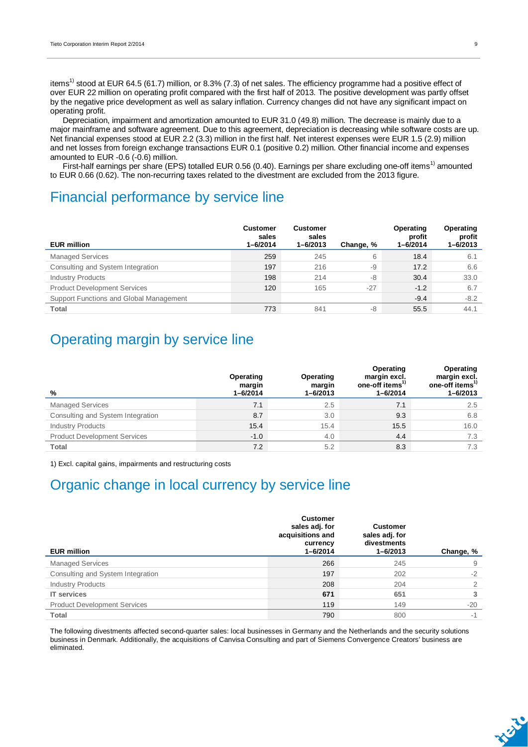items<sup>1)</sup> stood at EUR 64.5 (61.7) million, or 8.3% (7.3) of net sales. The efficiency programme had a positive effect of over EUR 22 million on operating profit compared with the first half of 2013. The positive development was partly offset by the negative price development as well as salary inflation. Currency changes did not have any significant impact on operating profit.

Depreciation, impairment and amortization amounted to EUR 31.0 (49.8) million. The decrease is mainly due to a major mainframe and software agreement. Due to this agreement, depreciation is decreasing while software costs are up. Net financial expenses stood at EUR 2.2 (3.3) million in the first half. Net interest expenses were EUR 1.5 (2.9) million and net losses from foreign exchange transactions EUR 0.1 (positive 0.2) million. Other financial income and expenses amounted to EUR -0.6 (-0.6) million.

First-half earnings per share (EPS) totalled EUR  $0.56$  (0.40). Earnings per share excluding one-off items<sup>1)</sup> amounted to EUR 0.66 (0.62). The non-recurring taxes related to the divestment are excluded from the 2013 figure.

### Financial performance by service line

| <b>EUR million</b>                      | <b>Customer</b><br>sales<br>$1 - 6/2014$ | <b>Customer</b><br>sales<br>$1 - 6/2013$ | Change, % | Operating<br>profit<br>$1 - 6/2014$ | Operating<br>profit<br>$1 - 6/2013$ |
|-----------------------------------------|------------------------------------------|------------------------------------------|-----------|-------------------------------------|-------------------------------------|
| <b>Managed Services</b>                 | 259                                      | 245                                      | 6         | 18.4                                | 6.1                                 |
| Consulting and System Integration       | 197                                      | 216                                      | -9        | 17.2                                | 6.6                                 |
| <b>Industry Products</b>                | 198                                      | 214                                      | -8        | 30.4                                | 33.0                                |
| <b>Product Development Services</b>     | 120                                      | 165                                      | $-27$     | $-1.2$                              | 6.7                                 |
| Support Functions and Global Management |                                          |                                          |           | $-9.4$                              | $-8.2$                              |
| <b>Total</b>                            | 773                                      | 841                                      | -8        | 55.5                                | 44.1                                |

## Operating margin by service line

| %                                   | Operating<br>margin<br>$1 - 6/2014$ | Operating<br>margin<br>$1 - 6/2013$ | Operating<br>margin excl.<br>one-off items <sup>1)</sup><br>$1 - 6/2014$ | Operating<br>margin excl.<br>one-off items <sup>1</sup><br>$1 - 6/2013$ |
|-------------------------------------|-------------------------------------|-------------------------------------|--------------------------------------------------------------------------|-------------------------------------------------------------------------|
| <b>Managed Services</b>             | 7.1                                 | 2.5                                 | 7.1                                                                      | 2.5                                                                     |
| Consulting and System Integration   | 8.7                                 | 3.0                                 | 9.3                                                                      | 6.8                                                                     |
| <b>Industry Products</b>            | 15.4                                | 15.4                                | 15.5                                                                     | 16.0                                                                    |
| <b>Product Development Services</b> | $-1.0$                              | 4.0                                 | 4.4                                                                      | 7.3                                                                     |
| Total                               | 7.2                                 | 5.2                                 | 8.3                                                                      | 7.3                                                                     |

1) Excl. capital gains, impairments and restructuring costs

### Organic change in local currency by service line

| <b>EUR million</b>                  | <b>Customer</b><br>sales adj. for<br>acquisitions and<br>currency<br>$1 - 6/2014$ | <b>Customer</b><br>sales adj. for<br>divestments<br>$1 - 6/2013$ | Change, % |
|-------------------------------------|-----------------------------------------------------------------------------------|------------------------------------------------------------------|-----------|
| <b>Managed Services</b>             | 266                                                                               | 245                                                              | 9         |
| Consulting and System Integration   | 197                                                                               | 202                                                              | $-2$      |
| <b>Industry Products</b>            | 208                                                                               | 204                                                              | 2         |
| <b>IT</b> services                  | 671                                                                               | 651                                                              | 3         |
| <b>Product Development Services</b> | 119                                                                               | 149                                                              | $-20$     |
| <b>Total</b>                        | 790                                                                               | 800                                                              | $-1$      |

The following divestments affected second-quarter sales: local businesses in Germany and the Netherlands and the security solutions business in Denmark. Additionally, the acquisitions of Canvisa Consulting and part of Siemens Convergence Creators' business are eliminated.

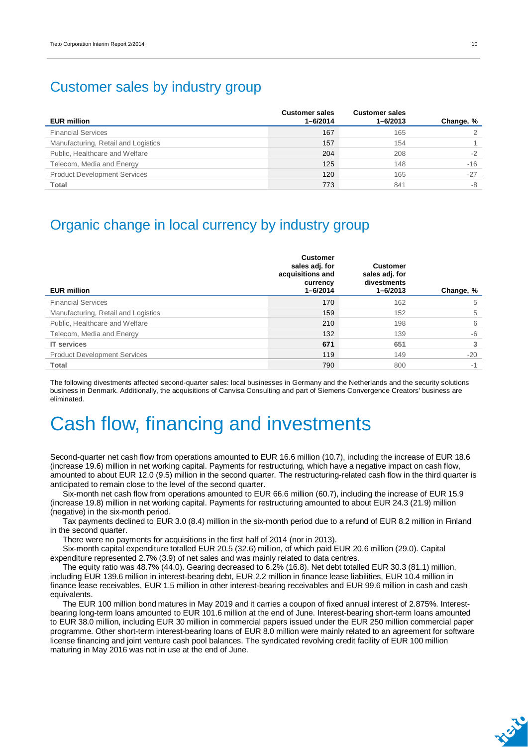## Customer sales by industry group

| <b>EUR million</b>                  | <b>Customer sales</b><br>$1 - 6/2014$ | <b>Customer sales</b><br>$1 - 6/2013$ | Change, % |
|-------------------------------------|---------------------------------------|---------------------------------------|-----------|
| <b>Financial Services</b>           | 167                                   | 165                                   |           |
| Manufacturing, Retail and Logistics | 157                                   | 154                                   |           |
| Public, Healthcare and Welfare      | 204                                   | 208                                   | $-2$      |
| Telecom, Media and Energy           | 125                                   | 148                                   | $-16$     |
| <b>Product Development Services</b> | 120                                   | 165                                   | $-27$     |
| <b>Total</b>                        | 773                                   | 841                                   | -8        |

### Organic change in local currency by industry group

| <b>EUR million</b>                  | <b>Customer</b><br>sales adj. for<br>acquisitions and<br>currency<br>$1 - 6/2014$ | <b>Customer</b><br>sales adj. for<br>divestments<br>1-6/2013 | Change, % |
|-------------------------------------|-----------------------------------------------------------------------------------|--------------------------------------------------------------|-----------|
| <b>Financial Services</b>           | 170                                                                               | 162                                                          | 5         |
| Manufacturing, Retail and Logistics | 159                                                                               | 152                                                          | 5         |
| Public, Healthcare and Welfare      | 210                                                                               | 198                                                          | 6         |
| Telecom, Media and Energy           | 132                                                                               | 139                                                          | $-6$      |
| <b>IT services</b>                  | 671                                                                               | 651                                                          | 3         |
| <b>Product Development Services</b> | 119                                                                               | 149                                                          | $-20$     |
| <b>Total</b>                        | 790                                                                               | 800                                                          | $-1$      |

The following divestments affected second-quarter sales: local businesses in Germany and the Netherlands and the security solutions business in Denmark. Additionally, the acquisitions of Canvisa Consulting and part of Siemens Convergence Creators' business are eliminated.

# Cash flow, financing and investments

Second-quarter net cash flow from operations amounted to EUR 16.6 million (10.7), including the increase of EUR 18.6 (increase 19.6) million in net working capital. Payments for restructuring, which have a negative impact on cash flow, amounted to about EUR 12.0 (9.5) million in the second quarter. The restructuring-related cash flow in the third quarter is anticipated to remain close to the level of the second quarter.

Six-month net cash flow from operations amounted to EUR 66.6 million (60.7), including the increase of EUR 15.9 (increase 19.8) million in net working capital. Payments for restructuring amounted to about EUR 24.3 (21.9) million (negative) in the six-month period.

Tax payments declined to EUR 3.0 (8.4) million in the six-month period due to a refund of EUR 8.2 million in Finland in the second quarter.

There were no payments for acquisitions in the first half of 2014 (nor in 2013).

Six-month capital expenditure totalled EUR 20.5 (32.6) million, of which paid EUR 20.6 million (29.0). Capital expenditure represented 2.7% (3.9) of net sales and was mainly related to data centres.

The equity ratio was 48.7% (44.0). Gearing decreased to 6.2% (16.8). Net debt totalled EUR 30.3 (81.1) million, including EUR 139.6 million in interest-bearing debt, EUR 2.2 million in finance lease liabilities, EUR 10.4 million in finance lease receivables, EUR 1.5 million in other interest-bearing receivables and EUR 99.6 million in cash and cash equivalents.

The EUR 100 million bond matures in May 2019 and it carries a coupon of fixed annual interest of 2.875%. Interestbearing long-term loans amounted to EUR 101.6 million at the end of June. Interest-bearing short-term loans amounted to EUR 38.0 million, including EUR 30 million in commercial papers issued under the EUR 250 million commercial paper programme. Other short-term interest-bearing loans of EUR 8.0 million were mainly related to an agreement for software license financing and joint venture cash pool balances. The syndicated revolving credit facility of EUR 100 million maturing in May 2016 was not in use at the end of June.

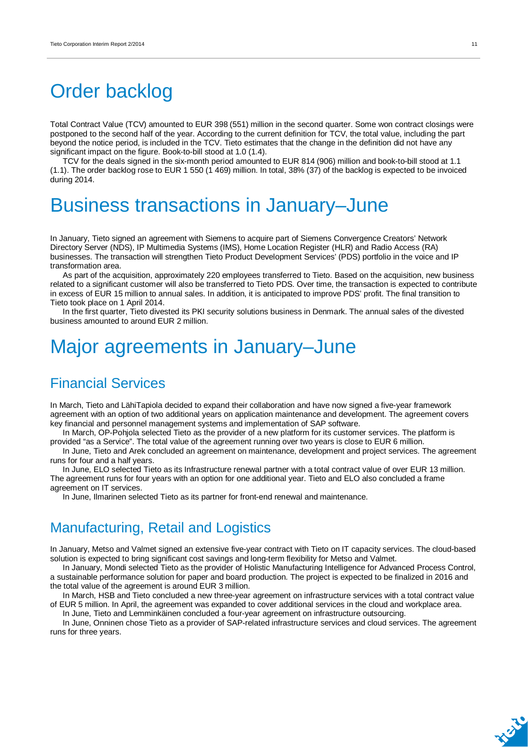# Order backlog

Total Contract Value (TCV) amounted to EUR 398 (551) million in the second quarter. Some won contract closings were postponed to the second half of the year. According to the current definition for TCV, the total value, including the part beyond the notice period, is included in the TCV. Tieto estimates that the change in the definition did not have any significant impact on the figure. Book-to-bill stood at 1.0 (1.4).

TCV for the deals signed in the six-month period amounted to EUR 814 (906) million and book-to-bill stood at 1.1 (1.1). The order backlog rose to EUR 1 550 (1 469) million. In total, 38% (37) of the backlog is expected to be invoiced during 2014.

# Business transactions in January–June

In January, Tieto signed an agreement with Siemens to acquire part of Siemens Convergence Creators' Network Directory Server (NDS), IP Multimedia Systems (IMS), Home Location Register (HLR) and Radio Access (RA) businesses. The transaction will strengthen Tieto Product Development Services' (PDS) portfolio in the voice and IP transformation area.

As part of the acquisition, approximately 220 employees transferred to Tieto. Based on the acquisition, new business related to a significant customer will also be transferred to Tieto PDS. Over time, the transaction is expected to contribute in excess of EUR 15 million to annual sales. In addition, it is anticipated to improve PDS' profit. The final transition to Tieto took place on 1 April 2014.

In the first quarter, Tieto divested its PKI security solutions business in Denmark. The annual sales of the divested business amounted to around EUR 2 million.

## Major agreements in January–June

### Financial Services

In March, Tieto and LähiTapiola decided to expand their collaboration and have now signed a five-year framework agreement with an option of two additional years on application maintenance and development. The agreement covers key financial and personnel management systems and implementation of SAP software.

In March, OP-Pohjola selected Tieto as the provider of a new platform for its customer services. The platform is provided "as a Service". The total value of the agreement running over two years is close to EUR 6 million.

In June, Tieto and Arek concluded an agreement on maintenance, development and project services. The agreement runs for four and a half years.

In June, ELO selected Tieto as its Infrastructure renewal partner with a total contract value of over EUR 13 million. The agreement runs for four years with an option for one additional year. Tieto and ELO also concluded a frame agreement on IT services.

In June, Ilmarinen selected Tieto as its partner for front-end renewal and maintenance.

## Manufacturing, Retail and Logistics

In January, Metso and Valmet signed an extensive five-year contract with Tieto on IT capacity services. The cloud-based solution is expected to bring significant cost savings and long-term flexibility for Metso and Valmet.

In January, Mondi selected Tieto as the provider of Holistic Manufacturing Intelligence for Advanced Process Control, a sustainable performance solution for paper and board production. The project is expected to be finalized in 2016 and the total value of the agreement is around EUR 3 million.

In March, HSB and Tieto concluded a new three-year agreement on infrastructure services with a total contract value of EUR 5 million. In April, the agreement was expanded to cover additional services in the cloud and workplace area.

In June, Tieto and Lemminkäinen concluded a four-year agreement on infrastructure outsourcing.

In June, Onninen chose Tieto as a provider of SAP-related infrastructure services and cloud services. The agreement runs for three years.

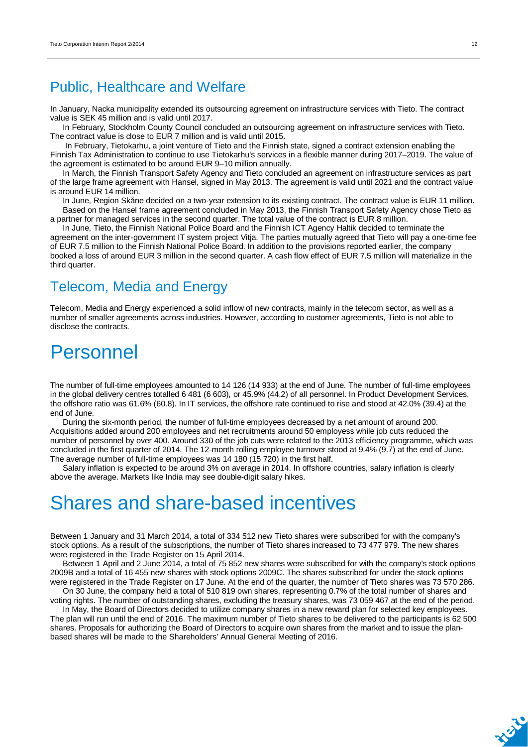### Public, Healthcare and Welfare

In January, Nacka municipality extended its outsourcing agreement on infrastructure services with Tieto. The contract value is SEK 45 million and is valid until 2017.

In February, Stockholm County Council concluded an outsourcing agreement on infrastructure services with Tieto. The contract value is close to EUR 7 million and is valid until 2015.

 In February, Tietokarhu, a joint venture of Tieto and the Finnish state, signed a contract extension enabling the Finnish Tax Administration to continue to use Tietokarhu's services in a flexible manner during 2017–2019. The value of the agreement is estimated to be around EUR 9–10 million annually.

In March, the Finnish Transport Safety Agency and Tieto concluded an agreement on infrastructure services as part of the large frame agreement with Hansel, signed in May 2013. The agreement is valid until 2021 and the contract value is around EUR 14 million.

In June, Region Skåne decided on a two-year extension to its existing contract. The contract value is EUR 11 million. Based on the Hansel frame agreement concluded in May 2013, the Finnish Transport Safety Agency chose Tieto as a partner for managed services in the second quarter. The total value of the contract is EUR 8 million.

In June, Tieto, the Finnish National Police Board and the Finnish ICT Agency Haltik decided to terminate the agreement on the inter-government IT system project Vitja. The parties mutually agreed that Tieto will pay a one-time fee of EUR 7.5 million to the Finnish National Police Board. In addition to the provisions reported earlier, the company booked a loss of around EUR 3 million in the second quarter. A cash flow effect of EUR 7.5 million will materialize in the third quarter.

### Telecom, Media and Energy

Telecom, Media and Energy experienced a solid inflow of new contracts, mainly in the telecom sector, as well as a number of smaller agreements across industries. However, according to customer agreements, Tieto is not able to disclose the contracts.

## Personnel

The number of full-time employees amounted to 14 126 (14 933) at the end of June. The number of full-time employees in the global delivery centres totalled 6 481 (6 603), or 45.9% (44.2) of all personnel. In Product Development Services, the offshore ratio was 61.6% (60.8). In IT services, the offshore rate continued to rise and stood at 42.0% (39.4) at the end of June.

During the six-month period, the number of full-time employees decreased by a net amount of around 200. Acquisitions added around 200 employees and net recruitments around 50 employess while job cuts reduced the number of personnel by over 400. Around 330 of the job cuts were related to the 2013 efficiency programme, which was concluded in the first quarter of 2014. The 12-month rolling employee turnover stood at 9.4% (9.7) at the end of June. The average number of full-time employees was 14 180 (15 720) in the first half.

Salary inflation is expected to be around 3% on average in 2014. In offshore countries, salary inflation is clearly above the average. Markets like India may see double-digit salary hikes.

## Shares and share-based incentives

Between 1 January and 31 March 2014, a total of 334 512 new Tieto shares were subscribed for with the company's stock options. As a result of the subscriptions, the number of Tieto shares increased to 73 477 979. The new shares were registered in the Trade Register on 15 April 2014.

Between 1 April and 2 June 2014, a total of 75 852 new shares were subscribed for with the company's stock options 2009B and a total of 16 455 new shares with stock options 2009C. The shares subscribed for under the stock options were registered in the Trade Register on 17 June. At the end of the quarter, the number of Tieto shares was 73 570 286.

On 30 June, the company held a total of 510 819 own shares, representing 0.7% of the total number of shares and voting rights. The number of outstanding shares, excluding the treasury shares, was 73 059 467 at the end of the period.

In May, the Board of Directors decided to utilize company shares in a new reward plan for selected key employees. The plan will run until the end of 2016. The maximum number of Tieto shares to be delivered to the participants is 62 500 shares. Proposals for authorizing the Board of Directors to acquire own shares from the market and to issue the planbased shares will be made to the Shareholders' Annual General Meeting of 2016.

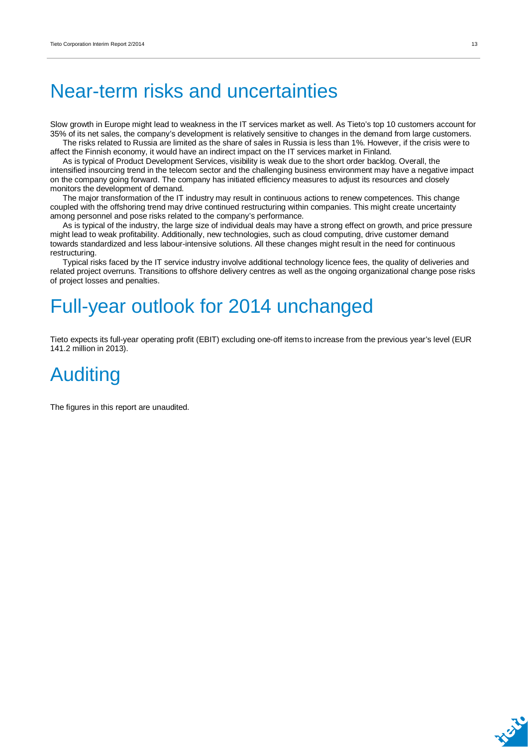# Near-term risks and uncertainties

Slow growth in Europe might lead to weakness in the IT services market as well. As Tieto's top 10 customers account for 35% of its net sales, the company's development is relatively sensitive to changes in the demand from large customers. The risks related to Russia are limited as the share of sales in Russia is less than 1%. However, if the crisis were to

affect the Finnish economy, it would have an indirect impact on the IT services market in Finland.

As is typical of Product Development Services, visibility is weak due to the short order backlog. Overall, the intensified insourcing trend in the telecom sector and the challenging business environment may have a negative impact on the company going forward. The company has initiated efficiency measures to adjust its resources and closely monitors the development of demand.

The major transformation of the IT industry may result in continuous actions to renew competences. This change coupled with the offshoring trend may drive continued restructuring within companies. This might create uncertainty among personnel and pose risks related to the company's performance.

As is typical of the industry, the large size of individual deals may have a strong effect on growth, and price pressure might lead to weak profitability. Additionally, new technologies, such as cloud computing, drive customer demand towards standardized and less labour-intensive solutions. All these changes might result in the need for continuous restructuring.

Typical risks faced by the IT service industry involve additional technology licence fees, the quality of deliveries and related project overruns. Transitions to offshore delivery centres as well as the ongoing organizational change pose risks of project losses and penalties.

# Full-year outlook for 2014 unchanged

Tieto expects its full-year operating profit (EBIT) excluding one-off items to increase from the previous year's level (EUR 141.2 million in 2013).

# Auditing

The figures in this report are unaudited.

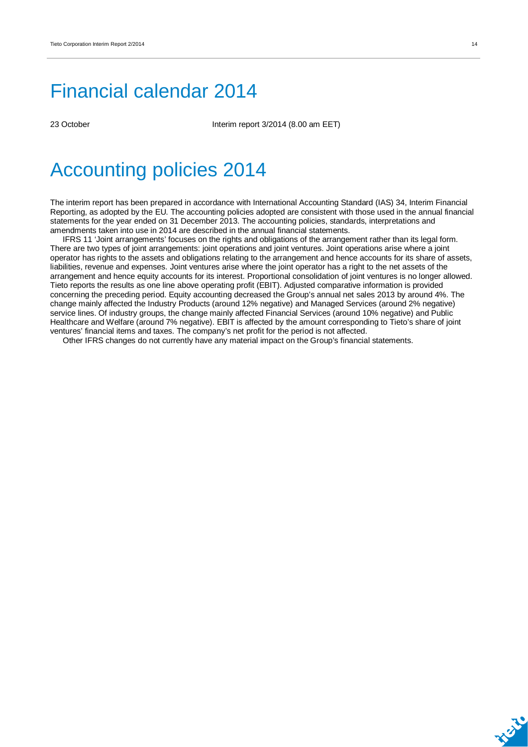# Financial calendar 2014

23 October Interim report 3/2014 (8.00 am EET)

# Accounting policies 2014

The interim report has been prepared in accordance with International Accounting Standard (IAS) 34, Interim Financial Reporting, as adopted by the EU. The accounting policies adopted are consistent with those used in the annual financial statements for the year ended on 31 December 2013. The accounting policies, standards, interpretations and amendments taken into use in 2014 are described in the annual financial statements.

IFRS 11 'Joint arrangements' focuses on the rights and obligations of the arrangement rather than its legal form. There are two types of joint arrangements: joint operations and joint ventures. Joint operations arise where a joint operator has rights to the assets and obligations relating to the arrangement and hence accounts for its share of assets, liabilities, revenue and expenses. Joint ventures arise where the joint operator has a right to the net assets of the arrangement and hence equity accounts for its interest. Proportional consolidation of joint ventures is no longer allowed. Tieto reports the results as one line above operating profit (EBIT). Adjusted comparative information is provided concerning the preceding period. Equity accounting decreased the Group's annual net sales 2013 by around 4%. The change mainly affected the Industry Products (around 12% negative) and Managed Services (around 2% negative) service lines. Of industry groups, the change mainly affected Financial Services (around 10% negative) and Public Healthcare and Welfare (around 7% negative). EBIT is affected by the amount corresponding to Tieto's share of joint ventures' financial items and taxes. The company's net profit for the period is not affected.

Other IFRS changes do not currently have any material impact on the Group's financial statements.

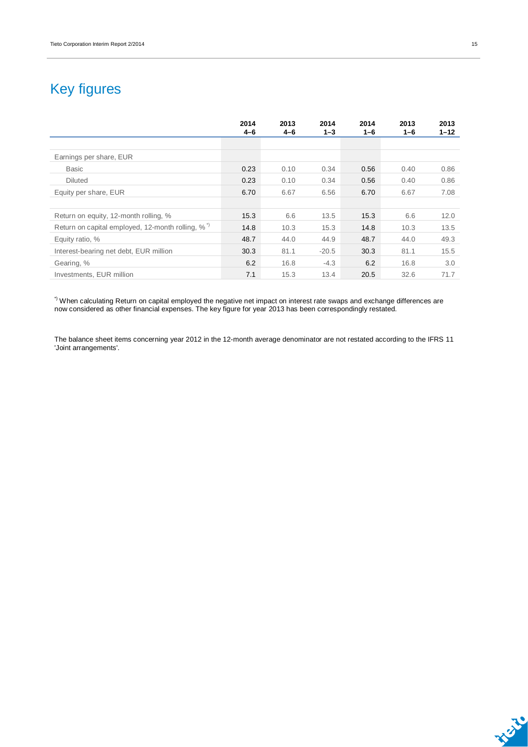## Key figures

|                                                              | 2014<br>$4 - 6$ | 2013<br>4-6 | 2014<br>$1 - 3$ | 2014<br>$1 - 6$ | 2013<br>1-6 | 2013<br>$1 - 12$ |
|--------------------------------------------------------------|-----------------|-------------|-----------------|-----------------|-------------|------------------|
|                                                              |                 |             |                 |                 |             |                  |
| Earnings per share, EUR                                      |                 |             |                 |                 |             |                  |
| <b>Basic</b>                                                 | 0.23            | 0.10        | 0.34            | 0.56            | 0.40        | 0.86             |
| <b>Diluted</b>                                               | 0.23            | 0.10        | 0.34            | 0.56            | 0.40        | 0.86             |
| Equity per share, EUR                                        | 6.70            | 6.67        | 6.56            | 6.70            | 6.67        | 7.08             |
|                                                              |                 |             |                 |                 |             |                  |
| Return on equity, 12-month rolling, %                        | 15.3            | 6.6         | 13.5            | 15.3            | 6.6         | 12.0             |
| Return on capital employed, 12-month rolling, % <sup>1</sup> | 14.8            | 10.3        | 15.3            | 14.8            | 10.3        | 13.5             |
| Equity ratio, %                                              | 48.7            | 44.0        | 44.9            | 48.7            | 44.0        | 49.3             |
| Interest-bearing net debt, EUR million                       | 30.3            | 81.1        | $-20.5$         | 30.3            | 81.1        | 15.5             |
| Gearing, %                                                   | 6.2             | 16.8        | $-4.3$          | 6.2             | 16.8        | 3.0              |
| Investments, EUR million                                     | 7.1             | 15.3        | 13.4            | 20.5            | 32.6        | 71.7             |

 $^{\circ}$  When calculating Return on capital employed the negative net impact on interest rate swaps and exchange differences are now considered as other financial expenses. The key figure for year 2013 has been correspondingly restated.

The balance sheet items concerning year 2012 in the 12-month average denominator are not restated according to the IFRS 11 'Joint arrangements'.

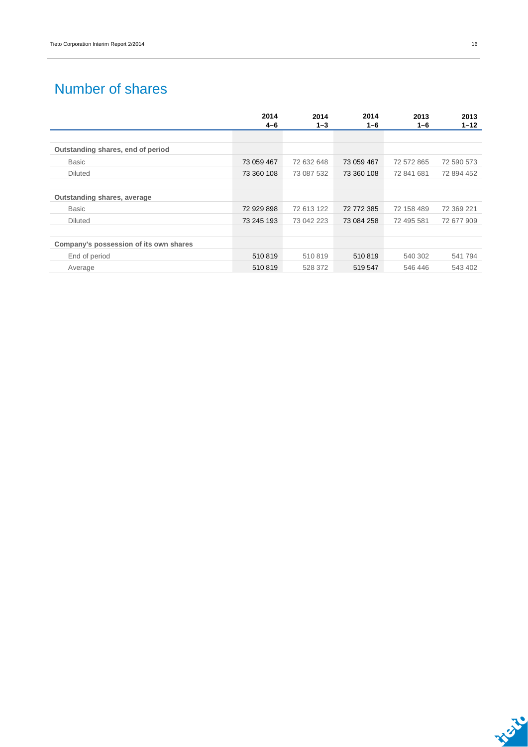## Number of shares

|                                        | 2014<br>$4 - 6$ | 2014<br>$1 - 3$ | 2014<br>1-6 | 2013<br>$1 - 6$ | 2013<br>$1 - 12$ |
|----------------------------------------|-----------------|-----------------|-------------|-----------------|------------------|
|                                        |                 |                 |             |                 |                  |
| Outstanding shares, end of period      |                 |                 |             |                 |                  |
| <b>Basic</b>                           | 73 059 467      | 72 632 648      | 73 059 467  | 72 572 865      | 72 590 573       |
| <b>Diluted</b>                         | 73 360 108      | 73 087 532      | 73 360 108  | 72 841 681      | 72 894 452       |
|                                        |                 |                 |             |                 |                  |
| Outstanding shares, average            |                 |                 |             |                 |                  |
| <b>Basic</b>                           | 72 929 898      | 72 613 122      | 72 772 385  | 72 158 489      | 72 369 221       |
| <b>Diluted</b>                         | 73 245 193      | 73 042 223      | 73 084 258  | 72 495 581      | 72 677 909       |
|                                        |                 |                 |             |                 |                  |
| Company's possession of its own shares |                 |                 |             |                 |                  |
| End of period                          | 510819          | 510819          | 510819      | 540 302         | 541794           |
| Average                                | 510819          | 528 372         | 519 547     | 546 446         | 543 402          |

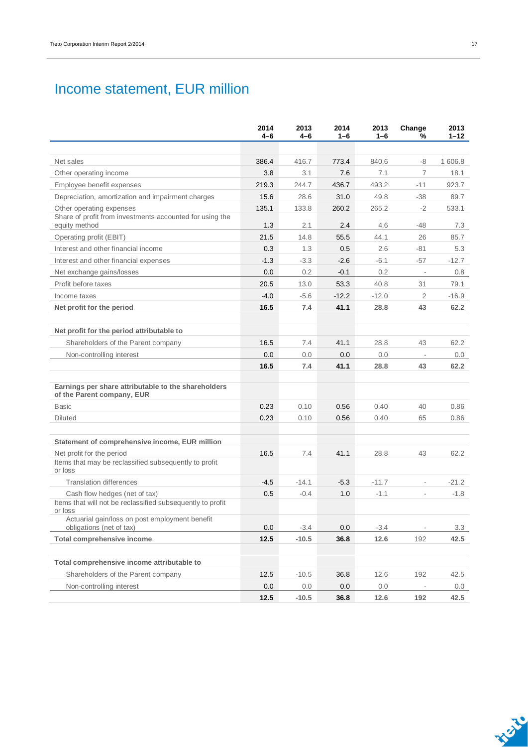## Income statement, EUR million

|                                                                                   | 2014<br>4-6 | 2013<br>$4 - 6$ | 2014<br>$1 - 6$ | 2013<br>$1 - 6$ | Change<br>%              | 2013<br>$1 - 12$ |
|-----------------------------------------------------------------------------------|-------------|-----------------|-----------------|-----------------|--------------------------|------------------|
|                                                                                   |             |                 |                 |                 |                          |                  |
| Net sales                                                                         | 386.4       | 416.7           | 773.4           | 840.6           | -8                       | 1 606.8          |
| Other operating income                                                            | 3.8         | 3.1             | 7.6             | 7.1             | $\overline{7}$           | 18.1             |
| Employee benefit expenses                                                         | 219.3       | 244.7           | 436.7           | 493.2           | $-11$                    | 923.7            |
| Depreciation, amortization and impairment charges                                 | 15.6        | 28.6            | 31.0            | 49.8            | $-38$                    | 89.7             |
| Other operating expenses                                                          | 135.1       | 133.8           | 260.2           | 265.2           | $-2$                     | 533.1            |
| Share of profit from investments accounted for using the<br>equity method         | 1.3         | 2.1             | 2.4             | 4.6             | -48                      | 7.3              |
| Operating profit (EBIT)                                                           | 21.5        | 14.8            | 55.5            | 44.1            | 26                       | 85.7             |
| Interest and other financial income                                               | 0.3         | 1.3             | 0.5             | 2.6             | $-81$                    | 5.3              |
| Interest and other financial expenses                                             | $-1.3$      | $-3.3$          | $-2.6$          | $-6.1$          | $-57$                    | $-12.7$          |
| Net exchange gains/losses                                                         | 0.0         | 0.2             | $-0.1$          | 0.2             | $\overline{\phantom{a}}$ | 0.8              |
| Profit before taxes                                                               | 20.5        | 13.0            | 53.3            | 40.8            | 31                       | 79.1             |
| Income taxes                                                                      | $-4.0$      | $-5.6$          | $-12.2$         | $-12.0$         | $\overline{2}$           | $-16.9$          |
| Net profit for the period                                                         | 16.5        | 7.4             | 41.1            | 28.8            | 43                       | 62.2             |
|                                                                                   |             |                 |                 |                 |                          |                  |
| Net profit for the period attributable to                                         |             |                 |                 |                 |                          |                  |
| Shareholders of the Parent company                                                | 16.5        | 7.4             | 41.1            | 28.8            | 43                       | 62.2             |
| Non-controlling interest                                                          | 0.0         | 0.0             | 0.0             | 0.0             | $\overline{\phantom{a}}$ | 0.0              |
|                                                                                   | 16.5        | 7.4             | 41.1            | 28.8            | 43                       | 62.2             |
|                                                                                   |             |                 |                 |                 |                          |                  |
| Earnings per share attributable to the shareholders<br>of the Parent company, EUR |             |                 |                 |                 |                          |                  |
| Basic                                                                             | 0.23        | 0.10            | 0.56            | 0.40            | 40                       | 0.86             |
| Diluted                                                                           | 0.23        | 0.10            | 0.56            | 0.40            | 65                       | 0.86             |
|                                                                                   |             |                 |                 |                 |                          |                  |
| Statement of comprehensive income, EUR million                                    |             |                 |                 |                 |                          |                  |
| Net profit for the period                                                         | 16.5        | 7.4             | 41.1            | 28.8            | 43                       | 62.2             |
| Items that may be reclassified subsequently to profit<br>or loss                  |             |                 |                 |                 |                          |                  |
| <b>Translation differences</b>                                                    | $-4.5$      | $-14.1$         | $-5.3$          | $-11.7$         | $\overline{\phantom{a}}$ | $-21.2$          |
| Cash flow hedges (net of tax)                                                     | 0.5         | $-0.4$          | 1.0             | $-1.1$          |                          | $-1.8$           |
| Items that will not be reclassified subsequently to profit<br>or loss             |             |                 |                 |                 |                          |                  |
| Actuarial gain/loss on post employment benefit                                    |             |                 |                 |                 |                          |                  |
| obligations (net of tax)                                                          | 0.0         | $-3.4$          | 0.0             | $-3.4$          | $\overline{\phantom{a}}$ | 3.3              |
| <b>Total comprehensive income</b>                                                 | 12.5        | $-10.5$         | 36.8            | 12.6            | 192                      | 42.5             |
| Total comprehensive income attributable to                                        |             |                 |                 |                 |                          |                  |
| Shareholders of the Parent company                                                | 12.5        | $-10.5$         | 36.8            | 12.6            | 192                      | 42.5             |
| Non-controlling interest                                                          | $0.0\,$     | 0.0             | 0.0             | 0.0             |                          | 0.0              |
|                                                                                   | 12.5        | $-10.5$         | 36.8            | 12.6            | 192                      | 42.5             |

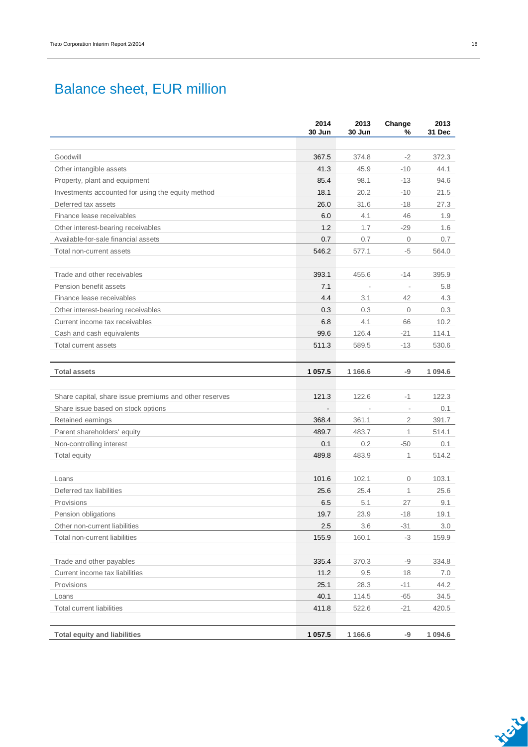## Balance sheet, EUR million

|                                                        | 2014<br>30 Jun | 2013<br>30 Jun           | Change<br>%              | 2013<br>31 Dec |
|--------------------------------------------------------|----------------|--------------------------|--------------------------|----------------|
|                                                        |                |                          |                          |                |
| Goodwill                                               | 367.5          | 374.8                    | $-2$                     | 372.3          |
| Other intangible assets                                | 41.3           | 45.9                     | $-10$                    | 44.1           |
| Property, plant and equipment                          | 85.4           | 98.1                     | $-13$                    | 94.6           |
| Investments accounted for using the equity method      | 18.1           | 20.2                     | $-10$                    | 21.5           |
| Deferred tax assets                                    | 26.0           | 31.6                     | $-18$                    | 27.3           |
| Finance lease receivables                              | 6.0            | 4.1                      | 46                       | 1.9            |
| Other interest-bearing receivables                     | 1.2            | 1.7                      | $-29$                    | 1.6            |
| Available-for-sale financial assets                    | 0.7            | 0.7                      | $\mathbf{0}$             | 0.7            |
| Total non-current assets                               | 546.2          | 577.1                    | -5                       | 564.0          |
| Trade and other receivables                            | 393.1          | 455.6                    | $-14$                    | 395.9          |
| Pension benefit assets                                 | 7.1            | $\overline{\phantom{a}}$ |                          | 5.8            |
| Finance lease receivables                              | 4.4            | 3.1                      | 42                       | 4.3            |
| Other interest-bearing receivables                     | 0.3            | 0.3                      | $\overline{0}$           | 0.3            |
| Current income tax receivables                         | 6.8            | 4.1                      | 66                       | 10.2           |
| Cash and cash equivalents                              | 99.6           | 126.4                    | $-21$                    | 114.1          |
| <b>Total current assets</b>                            | 511.3          | 589.5                    | $-13$                    | 530.6          |
|                                                        |                |                          |                          |                |
| <b>Total assets</b>                                    | 1 0 5 7.5      | 1 1 6 6.6                | -9                       | 1 0 9 4 . 6    |
| Share capital, share issue premiums and other reserves | 121.3          | 122.6                    | $-1$                     | 122.3          |
| Share issue based on stock options                     |                |                          | $\overline{\phantom{a}}$ | 0.1            |
| Retained earnings                                      | 368.4          | 361.1                    | $\overline{2}$           | 391.7          |
| Parent shareholders' equity                            | 489.7          | 483.7                    | 1                        | 514.1          |
| Non-controlling interest                               | 0.1            | 0.2                      | $-50$                    | 0.1            |
| Total equity                                           | 489.8          | 483.9                    | $\mathbf{1}$             | 514.2          |
|                                                        |                |                          |                          |                |
| Loans                                                  | 101.6          | 102.1                    | $\mathbf{0}$             | 103.1          |
| Deferred tax liabilities                               | 25.6           | 25.4                     | $\mathbf{1}$             | 25.6           |
| Provisions                                             | 6.5            | 5.1                      | 27                       | 9.1            |
| Pension obligations                                    | 19.7           | 23.9                     | $-18$                    | 19.1           |
| Other non-current liabilities                          | $2.5\,$        | 3.6                      | $-31$                    | 3.0            |
| Total non-current liabilities                          | 155.9          | 160.1                    | $-3$                     | 159.9          |
| Trade and other payables                               | 335.4          | 370.3                    | $-9$                     | 334.8          |
| Current income tax liabilities                         | 11.2           | 9.5                      | 18                       | 7.0            |
| Provisions                                             | 25.1           | 28.3                     | $-11$                    | 44.2           |
| Loans                                                  | 40.1           | 114.5                    | $-65$                    | 34.5           |
| <b>Total current liabilities</b>                       | 411.8          | 522.6                    | $-21$                    | 420.5          |
| <b>Total equity and liabilities</b>                    | 1 0 5 7 . 5    | 1 1 66.6                 | -9                       | 1 0 9 4 . 6    |
|                                                        |                |                          |                          |                |

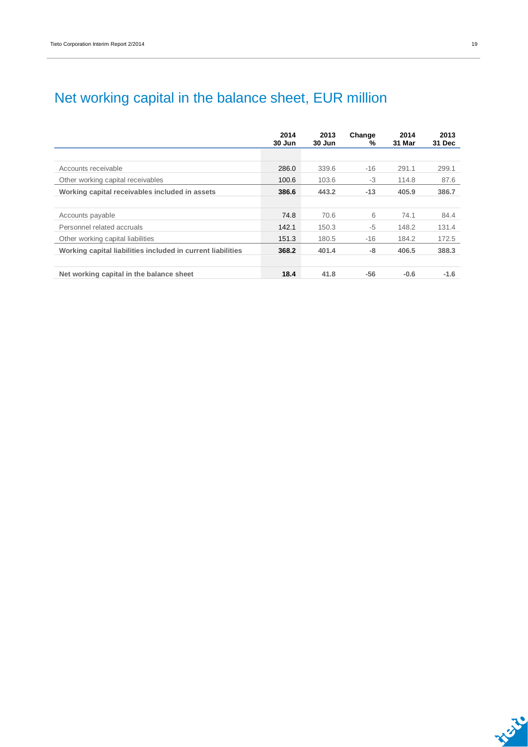# Net working capital in the balance sheet, EUR million

|                                                             | 2014<br>30 Jun | 2013<br>30 Jun | Change<br>% | 2014<br>31 Mar | 2013<br>31 Dec |
|-------------------------------------------------------------|----------------|----------------|-------------|----------------|----------------|
|                                                             |                |                |             |                |                |
| Accounts receivable                                         | 286.0          | 339.6          | $-16$       | 291.1          | 299.1          |
| Other working capital receivables                           | 100.6          | 103.6          | -3          | 114.8          | 87.6           |
| Working capital receivables included in assets              | 386.6          | 443.2          | $-13$       | 405.9          | 386.7          |
|                                                             |                |                |             |                |                |
| Accounts payable                                            | 74.8           | 70.6           | 6           | 74.1           | 84.4           |
| Personnel related accruals                                  | 142.1          | 150.3          | $-5$        | 148.2          | 131.4          |
| Other working capital liabilities                           | 151.3          | 180.5          | $-16$       | 184.2          | 172.5          |
| Working capital liabilities included in current liabilities | 368.2          | 401.4          | -8          | 406.5          | 388.3          |
|                                                             |                |                |             |                |                |
| Net working capital in the balance sheet                    | 18.4           | 41.8           | -56         | $-0.6$         | $-1.6$         |

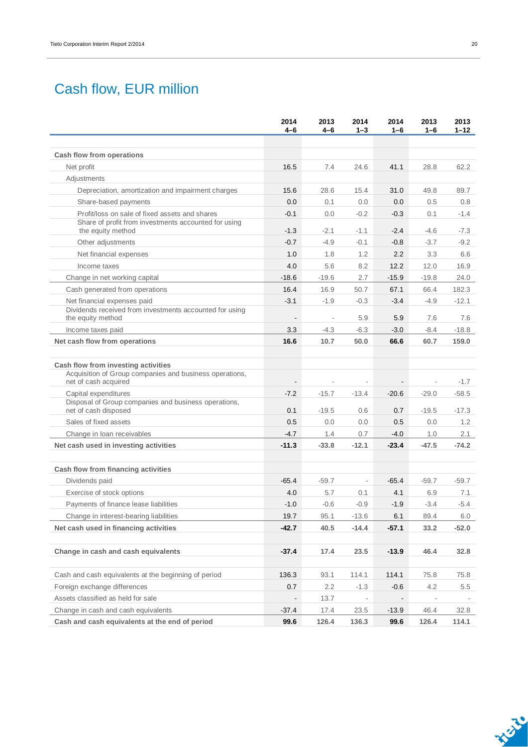## Cash flow, EUR million

|                                                                                                                                                                                         | 2014<br>4-6                               | 2013<br>4-6              | 2014<br>$1 - 3$                            | 2014<br>$1 - 6$                            | 2013<br>$1 - 6$                                | 2013<br>$1 - 12$             |
|-----------------------------------------------------------------------------------------------------------------------------------------------------------------------------------------|-------------------------------------------|--------------------------|--------------------------------------------|--------------------------------------------|------------------------------------------------|------------------------------|
| Cash flow from operations                                                                                                                                                               |                                           |                          |                                            |                                            |                                                |                              |
| Net profit                                                                                                                                                                              | 16.5                                      | 7.4                      | 24.6                                       | 41.1                                       | 28.8                                           | 62.2                         |
| Adjustments                                                                                                                                                                             |                                           |                          |                                            |                                            |                                                |                              |
| Depreciation, amortization and impairment charges                                                                                                                                       | 15.6                                      | 28.6                     | 15.4                                       | 31.0                                       | 49.8                                           | 89.7                         |
| Share-based payments                                                                                                                                                                    | 0.0                                       | 0.1                      | 0.0                                        | 0.0                                        | 0.5                                            | 0.8                          |
| Profit/loss on sale of fixed assets and shares                                                                                                                                          | $-0.1$                                    | 0.0                      | $-0.2$                                     | $-0.3$                                     | 0.1                                            | $-1.4$                       |
| Share of profit from investments accounted for using<br>the equity method                                                                                                               | $-1.3$                                    | $-2.1$                   | $-1.1$                                     | $-2.4$                                     | $-4.6$                                         | $-7.3$                       |
| Other adjustments                                                                                                                                                                       | $-0.7$                                    | $-4.9$                   | $-0.1$                                     | $-0.8$                                     | $-3.7$                                         | $-9.2$                       |
| Net financial expenses                                                                                                                                                                  | 1.0                                       | 1.8                      | 1.2                                        | 2.2                                        | 3.3                                            | 6.6                          |
| Income taxes                                                                                                                                                                            | 4.0                                       | 5.6                      | 8.2                                        | 12.2                                       | 12.0                                           | 16.9                         |
| Change in net working capital                                                                                                                                                           | $-18.6$                                   | $-19.6$                  | 2.7                                        | $-15.9$                                    | $-19.8$                                        | 24.0                         |
| Cash generated from operations                                                                                                                                                          | 16.4                                      | 16.9                     | 50.7                                       | 67.1                                       | 66.4                                           | 182.3                        |
| Net financial expenses paid                                                                                                                                                             | $-3.1$                                    | $-1.9$                   | $-0.3$                                     | $-3.4$                                     | $-4.9$                                         | $-12.1$                      |
| Dividends received from investments accounted for using<br>the equity method                                                                                                            |                                           | $\overline{\phantom{a}}$ | 5.9                                        | 5.9                                        | 7.6                                            | 7.6                          |
| Income taxes paid                                                                                                                                                                       | 3.3                                       | $-4.3$                   | $-6.3$                                     | $-3.0$                                     | $-8.4$                                         | $-18.8$                      |
| Net cash flow from operations                                                                                                                                                           | 16.6                                      | 10.7                     | 50.0                                       | 66.6                                       | 60.7                                           | 159.0                        |
| Acquisition of Group companies and business operations,<br>net of cash acquired<br>Capital expenditures<br>Disposal of Group companies and business operations,<br>net of cash disposed | $\overline{\phantom{a}}$<br>$-7.2$<br>0.1 | $-15.7$<br>$-19.5$       | $\overline{\phantom{a}}$<br>$-13.4$<br>0.6 | $\overline{\phantom{a}}$<br>$-20.6$<br>0.7 | $\overline{\phantom{a}}$<br>$-29.0$<br>$-19.5$ | $-1.7$<br>$-58.5$<br>$-17.3$ |
|                                                                                                                                                                                         |                                           |                          |                                            |                                            |                                                |                              |
| Sales of fixed assets                                                                                                                                                                   | 0.5                                       | 0.0                      | 0.0                                        | 0.5                                        | 0.0                                            | 1.2                          |
| Change in loan receivables                                                                                                                                                              | $-4.7$                                    | 1.4                      | 0.7                                        | $-4.0$                                     | 1.0                                            | 2.1                          |
| Net cash used in investing activities                                                                                                                                                   | $-11.3$                                   | $-33.8$                  | $-12.1$                                    | $-23.4$                                    | $-47.5$                                        | $-74.2$                      |
| Cash flow from financing activities                                                                                                                                                     |                                           |                          |                                            |                                            |                                                |                              |
| Dividends paid                                                                                                                                                                          | $-65.4$                                   | $-59.7$                  | $\overline{\phantom{a}}$                   | $-65.4$                                    | $-59.7$                                        | $-59.7$                      |
| Exercise of stock options                                                                                                                                                               | 4.0                                       | 5.7                      | 0.1                                        | 4.1                                        | 6.9                                            | 7.1                          |
| Payments of finance lease liabilities                                                                                                                                                   | $-1.0$                                    | $-0.6$                   | $-0.9$                                     | $-1.9$                                     | $-3.4$                                         | $-5.4$                       |
| Change in interest-bearing liabilities                                                                                                                                                  | 19.7                                      | 95.1                     | $-13.6$                                    | 6.1                                        | 89.4                                           | 6.0                          |
| Net cash used in financing activities                                                                                                                                                   | $-42.7$                                   | 40.5                     | $-14.4$                                    | -57.1                                      | 33.2                                           | $-52.0$                      |
| Change in cash and cash equivalents                                                                                                                                                     | -37.4                                     | 17.4                     | 23.5                                       | $-13.9$                                    | 46.4                                           | 32.8                         |
| Cash and cash equivalents at the beginning of period                                                                                                                                    | 136.3                                     | 93.1                     | 114.1                                      | 114.1                                      | 75.8                                           | 75.8                         |
| Foreign exchange differences                                                                                                                                                            | 0.7                                       | 2.2                      | $-1.3$                                     | $-0.6$                                     | 4.2                                            | 5.5                          |
| Assets classified as held for sale                                                                                                                                                      |                                           | 13.7                     | $\overline{\phantom{a}}$                   |                                            | $\overline{\phantom{a}}$                       |                              |
| Change in cash and cash equivalents                                                                                                                                                     | -37.4                                     | 17.4                     | 23.5                                       | $-13.9$                                    | 46.4                                           | 32.8                         |
| Cash and cash equivalents at the end of period                                                                                                                                          | 99.6                                      | 126.4                    | 136.3                                      | 99.6                                       | 126.4                                          | 114.1                        |

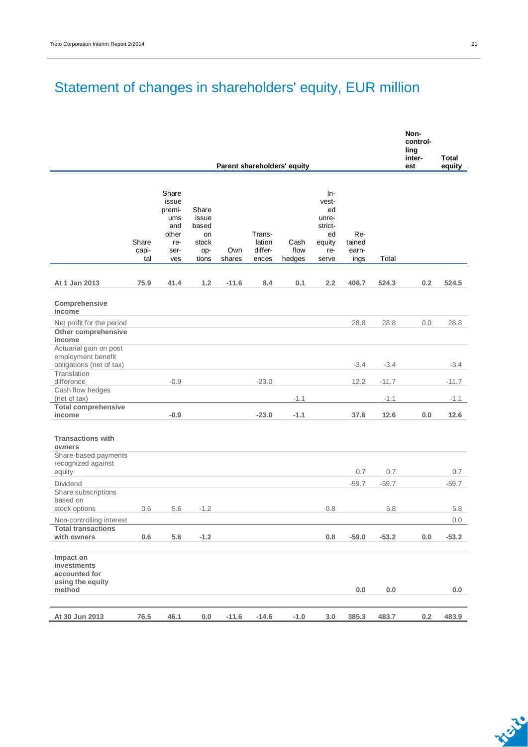## Statement of changes in shareholders' equity, EUR million

|                                                                                  |                       |                                                                       |                                                        |               |                                      |                             |                                                                        |                                |         | Non-<br>control-<br>ling<br>inter- | Total   |
|----------------------------------------------------------------------------------|-----------------------|-----------------------------------------------------------------------|--------------------------------------------------------|---------------|--------------------------------------|-----------------------------|------------------------------------------------------------------------|--------------------------------|---------|------------------------------------|---------|
|                                                                                  |                       |                                                                       |                                                        |               |                                      | Parent shareholders' equity |                                                                        |                                |         | est                                | equity  |
|                                                                                  | Share<br>capi-<br>tal | Share<br>issue<br>premi-<br>ums<br>and<br>other<br>re-<br>ser-<br>ves | Share<br>issue<br>based<br>on<br>stock<br>op-<br>tions | Own<br>shares | Trans-<br>lation<br>differ-<br>ences | Cash<br>flow<br>hedges      | In-<br>vest-<br>ed<br>unre-<br>strict-<br>ed<br>equity<br>re-<br>serve | Re-<br>tained<br>earn-<br>ings | Total   |                                    |         |
|                                                                                  |                       |                                                                       |                                                        |               |                                      |                             |                                                                        |                                |         |                                    |         |
| At 1 Jan 2013                                                                    | 75.9                  | 41.4                                                                  | 1.2                                                    | $-11.6$       | 8.4                                  | 0.1                         | 2.2                                                                    | 406.7                          | 524.3   | 0.2                                | 524.5   |
| Comprehensive<br>income                                                          |                       |                                                                       |                                                        |               |                                      |                             |                                                                        |                                |         |                                    |         |
| Net profit for the period                                                        |                       |                                                                       |                                                        |               |                                      |                             |                                                                        | 28.8                           | 28.8    | 0.0                                | 28.8    |
| Other comprehensive                                                              |                       |                                                                       |                                                        |               |                                      |                             |                                                                        |                                |         |                                    |         |
| income                                                                           |                       |                                                                       |                                                        |               |                                      |                             |                                                                        |                                |         |                                    |         |
| Actuarial gain on post<br>employment benefit<br>obligations (net of tax)         |                       |                                                                       |                                                        |               |                                      |                             |                                                                        | $-3.4$                         | $-3.4$  |                                    | $-3.4$  |
| Translation                                                                      |                       |                                                                       |                                                        |               |                                      |                             |                                                                        |                                |         |                                    |         |
| difference                                                                       |                       | $-0.9$                                                                |                                                        |               | $-23.0$                              |                             |                                                                        | 12.2                           | $-11.7$ |                                    | $-11.7$ |
| Cash flow hedges<br>(net of tax)                                                 |                       |                                                                       |                                                        |               |                                      | $-1.1$                      |                                                                        |                                | $-1.1$  |                                    | $-1.1$  |
| <b>Total comprehensive</b>                                                       |                       |                                                                       |                                                        |               |                                      |                             |                                                                        |                                |         |                                    |         |
| income                                                                           |                       | $-0.9$                                                                |                                                        |               | $-23.0$                              | $-1.1$                      |                                                                        | 37.6                           | 12.6    | 0.0                                | 12.6    |
| <b>Transactions with</b><br>owners<br>Share-based payments<br>recognized against |                       |                                                                       |                                                        |               |                                      |                             |                                                                        |                                |         |                                    |         |
| equity                                                                           |                       |                                                                       |                                                        |               |                                      |                             |                                                                        | 0.7                            | 0.7     |                                    | 0.7     |
| Dividend                                                                         |                       |                                                                       |                                                        |               |                                      |                             |                                                                        | $-59.7$                        | $-59.7$ |                                    | $-59.7$ |
| Share subscriptions<br>based on                                                  |                       |                                                                       |                                                        |               |                                      |                             |                                                                        |                                |         |                                    |         |
| stock options                                                                    | 0.6                   | 5.6                                                                   | $-1.2$                                                 |               |                                      |                             | 0.8                                                                    |                                | 5.8     |                                    | 5.8     |
| Non-controlling interest                                                         |                       |                                                                       |                                                        |               |                                      |                             |                                                                        |                                |         |                                    | 0.0     |
| <b>Total transactions</b><br>with owners                                         | 0.6                   | 5.6                                                                   | $-1.2$                                                 |               |                                      |                             | 0.8                                                                    | $-59.0$                        | $-53.2$ | 0.0                                | $-53.2$ |
| Impact on<br>investments<br>accounted for<br>using the equity<br>method          |                       |                                                                       |                                                        |               |                                      |                             |                                                                        | $0.0\,$                        | 0.0     |                                    | $0.0\,$ |
|                                                                                  |                       |                                                                       |                                                        |               |                                      |                             |                                                                        |                                |         |                                    |         |
| At 30 Jun 2013                                                                   | 76.5                  | 46.1                                                                  | 0.0                                                    | $-11.6$       | $-14.6$                              | $-1.0$                      | $3.0\,$                                                                | 385.3                          | 483.7   | 0.2                                | 483.9   |

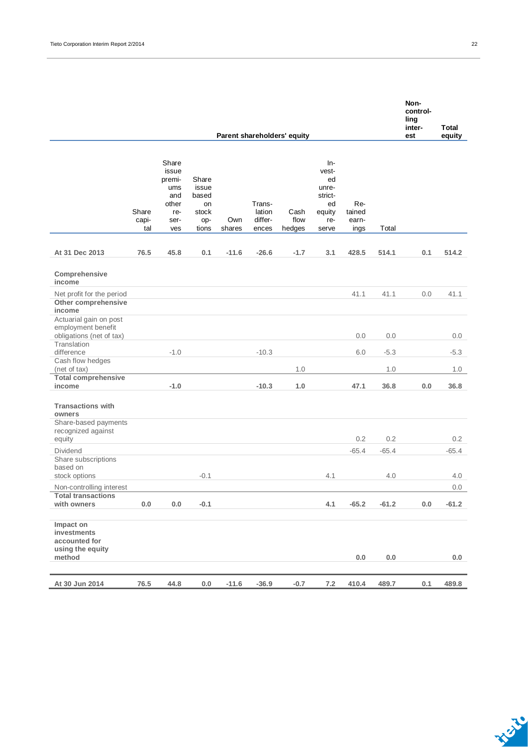|                                                                                            |                       |                                                                       |                                                        |               |                                      |                             |                                                                        |                                |         | Non-<br>control-<br>ling<br>inter- | Total   |
|--------------------------------------------------------------------------------------------|-----------------------|-----------------------------------------------------------------------|--------------------------------------------------------|---------------|--------------------------------------|-----------------------------|------------------------------------------------------------------------|--------------------------------|---------|------------------------------------|---------|
|                                                                                            |                       |                                                                       |                                                        |               |                                      | Parent shareholders' equity |                                                                        |                                |         | est                                | equity  |
|                                                                                            | Share<br>capi-<br>tal | Share<br>issue<br>premi-<br>ums<br>and<br>other<br>re-<br>ser-<br>ves | Share<br>issue<br>based<br>on<br>stock<br>op-<br>tions | Own<br>shares | Trans-<br>lation<br>differ-<br>ences | Cash<br>flow<br>hedges      | In-<br>vest-<br>ed<br>unre-<br>strict-<br>ed<br>equity<br>re-<br>serve | Re-<br>tained<br>earn-<br>ings | Total   |                                    |         |
| At 31 Dec 2013                                                                             | 76.5                  | 45.8                                                                  | 0.1                                                    | $-11.6$       | $-26.6$                              | $-1.7$                      | 3.1                                                                    | 428.5                          | 514.1   | 0.1                                | 514.2   |
| Comprehensive<br>income                                                                    |                       |                                                                       |                                                        |               |                                      |                             |                                                                        |                                |         |                                    |         |
| Net profit for the period                                                                  |                       |                                                                       |                                                        |               |                                      |                             |                                                                        | 41.1                           | 41.1    | 0.0                                | 41.1    |
| Other comprehensive                                                                        |                       |                                                                       |                                                        |               |                                      |                             |                                                                        |                                |         |                                    |         |
| income                                                                                     |                       |                                                                       |                                                        |               |                                      |                             |                                                                        |                                |         |                                    |         |
| Actuarial gain on post<br>employment benefit<br>obligations (net of tax)                   |                       |                                                                       |                                                        |               |                                      |                             |                                                                        | 0.0                            | 0.0     |                                    | 0.0     |
| Translation                                                                                |                       |                                                                       |                                                        |               |                                      |                             |                                                                        |                                |         |                                    |         |
| difference                                                                                 |                       | $-1.0$                                                                |                                                        |               | $-10.3$                              |                             |                                                                        | 6.0                            | $-5.3$  |                                    | $-5.3$  |
| Cash flow hedges<br>(net of tax)                                                           |                       |                                                                       |                                                        |               |                                      | 1.0                         |                                                                        |                                | 1.0     |                                    | 1.0     |
| <b>Total comprehensive</b>                                                                 |                       |                                                                       |                                                        |               |                                      |                             |                                                                        |                                |         |                                    |         |
| income                                                                                     |                       | $-1.0$                                                                |                                                        |               | $-10.3$                              | 1.0                         |                                                                        | 47.1                           | 36.8    | 0.0                                | 36.8    |
| <b>Transactions with</b><br>owners<br>Share-based payments<br>recognized against<br>equity |                       |                                                                       |                                                        |               |                                      |                             |                                                                        | 0.2                            | 0.2     |                                    | 0.2     |
| Dividend                                                                                   |                       |                                                                       |                                                        |               |                                      |                             |                                                                        | $-65.4$                        | $-65.4$ |                                    | $-65.4$ |
| Share subscriptions<br>based on                                                            |                       |                                                                       |                                                        |               |                                      |                             |                                                                        |                                |         |                                    |         |
| stock options                                                                              |                       |                                                                       | $-0.1$                                                 |               |                                      |                             | 4.1                                                                    |                                | 4.0     |                                    | 4.0     |
| Non-controlling interest<br><b>Total transactions</b>                                      |                       |                                                                       |                                                        |               |                                      |                             |                                                                        |                                |         |                                    | 0.0     |
| with owners                                                                                | 0.0                   | $0.0\,$                                                               | $-0.1$                                                 |               |                                      |                             | 4.1                                                                    | $-65.2$                        | $-61.2$ | 0.0                                | $-61.2$ |
| Impact on<br>investments<br>accounted for<br>using the equity<br>method                    |                       |                                                                       |                                                        |               |                                      |                             |                                                                        | $0.0\,$                        | 0.0     |                                    | 0.0     |
|                                                                                            |                       |                                                                       |                                                        |               |                                      |                             |                                                                        |                                |         |                                    |         |
| At 30 Jun 2014                                                                             | 76.5                  | 44.8                                                                  | $0.0\,$                                                | $-11.6$       | $-36.9$                              | $-0.7$                      | 7.2                                                                    | 410.4                          | 489.7   | 0.1                                | 489.8   |

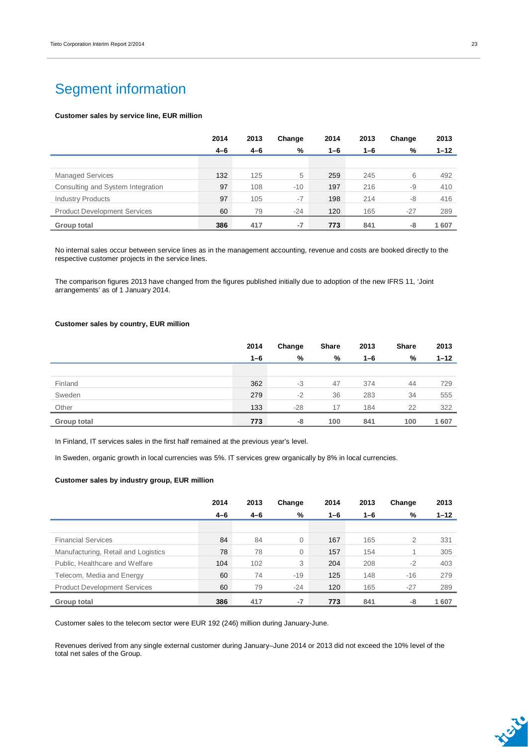## Segment information

#### **Customer sales by service line, EUR million**

|                                     | 2014    | 2013    | Change | 2014    | 2013    | Change | 2013     |
|-------------------------------------|---------|---------|--------|---------|---------|--------|----------|
|                                     | $4 - 6$ | $4 - 6$ | %      | $1 - 6$ | $1 - 6$ | %      | $1 - 12$ |
|                                     |         |         |        |         |         |        |          |
| <b>Managed Services</b>             | 132     | 125     | 5      | 259     | 245     | 6      | 492      |
| Consulting and System Integration   | 97      | 108     | $-10$  | 197     | 216     | -9     | 410      |
| <b>Industry Products</b>            | 97      | 105     | $-7$   | 198     | 214     | -8     | 416      |
| <b>Product Development Services</b> | 60      | 79      | $-24$  | 120     | 165     | $-27$  | 289      |
| Group total                         | 386     | 417     | $-7$   | 773     | 841     | -8     | 1607     |

No internal sales occur between service lines as in the management accounting, revenue and costs are booked directly to the respective customer projects in the service lines.

The comparison figures 2013 have changed from the figures published initially due to adoption of the new IFRS 11, 'Joint arrangements' as of 1 January 2014.

#### **Customer sales by country, EUR million**

|             | 2014    | Change | <b>Share</b> | 2013    | Share | 2013     |
|-------------|---------|--------|--------------|---------|-------|----------|
|             | $1 - 6$ | %      | %            | $1 - 6$ | %     | $1 - 12$ |
|             |         |        |              |         |       |          |
| Finland     | 362     | $-3$   | 47           | 374     | 44    | 729      |
| Sweden      | 279     | $-2$   | 36           | 283     | 34    | 555      |
| Other       | 133     | $-28$  | 17           | 184     | 22    | 322      |
| Group total | 773     | -8     | 100          | 841     | 100   | 1607     |

In Finland, IT services sales in the first half remained at the previous year's level.

In Sweden, organic growth in local currencies was 5%. IT services grew organically by 8% in local currencies.

#### **Customer sales by industry group, EUR million**

|                                     | 2014    | 2013    | Change      | 2014    | 2013    | Change | 2013     |
|-------------------------------------|---------|---------|-------------|---------|---------|--------|----------|
|                                     | $4 - 6$ | $4 - 6$ | %           | $1 - 6$ | $1 - 6$ | %      | $1 - 12$ |
|                                     |         |         |             |         |         |        |          |
| <b>Financial Services</b>           | 84      | 84      | $\mathbf 0$ | 167     | 165     | 2      | 331      |
| Manufacturing, Retail and Logistics | 78      | 78      | 0           | 157     | 154     |        | 305      |
| Public, Healthcare and Welfare      | 104     | 102     | 3           | 204     | 208     | $-2$   | 403      |
| Telecom, Media and Energy           | 60      | 74      | $-19$       | 125     | 148     | $-16$  | 279      |
| <b>Product Development Services</b> | 60      | 79      | $-24$       | 120     | 165     | $-27$  | 289      |
| Group total                         | 386     | 417     | $-7$        | 773     | 841     | -8     | 1607     |

Customer sales to the telecom sector were EUR 192 (246) million during January-June.

Revenues derived from any single external customer during January–June 2014 or 2013 did not exceed the 10% level of the total net sales of the Group.

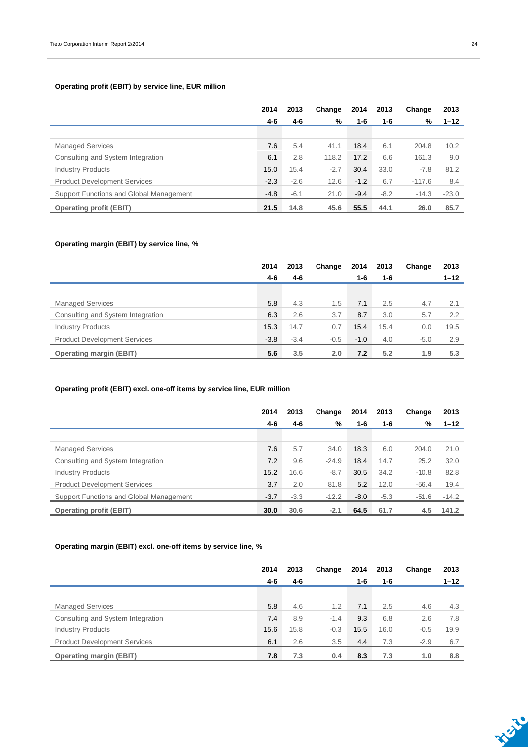### **Operating profit (EBIT) by service line, EUR million**

|                                         | 2014   | 2013   | Change | 2014    | 2013   | Change   | 2013     |
|-----------------------------------------|--------|--------|--------|---------|--------|----------|----------|
|                                         | 4-6    | 4-6    | %      | $1 - 6$ | 1-6    | %        | $1 - 12$ |
|                                         |        |        |        |         |        |          |          |
| <b>Managed Services</b>                 | 7.6    | 5.4    | 41.1   | 18.4    | 6.1    | 204.8    | 10.2     |
| Consulting and System Integration       | 6.1    | 2.8    | 118.2  | 17.2    | 6.6    | 161.3    | 9.0      |
| <b>Industry Products</b>                | 15.0   | 15.4   | $-2.7$ | 30.4    | 33.0   | $-7.8$   | 81.2     |
| <b>Product Development Services</b>     | $-2.3$ | $-2.6$ | 12.6   | $-1.2$  | 6.7    | $-117.6$ | 8.4      |
| Support Functions and Global Management | $-4.8$ | $-6.1$ | 21.0   | $-9.4$  | $-8.2$ | $-14.3$  | $-23.0$  |
| <b>Operating profit (EBIT)</b>          | 21.5   | 14.8   | 45.6   | 55.5    | 44.1   | 26.0     | 85.7     |

### **Operating margin (EBIT) by service line, %**

|                                     | 2014   | 2013    | Change | 2014   | 2013    | Change | 2013     |
|-------------------------------------|--------|---------|--------|--------|---------|--------|----------|
|                                     | 4-6    | $4 - 6$ |        | 1-6    | $1 - 6$ |        | $1 - 12$ |
|                                     |        |         |        |        |         |        |          |
| <b>Managed Services</b>             | 5.8    | 4.3     | 1.5    | 7.1    | 2.5     | 4.7    | 2.1      |
| Consulting and System Integration   | 6.3    | 2.6     | 3.7    | 8.7    | 3.0     | 5.7    | 2.2      |
| <b>Industry Products</b>            | 15.3   | 14.7    | 0.7    | 15.4   | 15.4    | 0.0    | 19.5     |
| <b>Product Development Services</b> | $-3.8$ | $-3.4$  | $-0.5$ | $-1.0$ | 4.0     | $-5.0$ | 2.9      |
| <b>Operating margin (EBIT)</b>      | 5.6    | 3.5     | 2.0    | 7.2    | 5.2     | 1.9    | 5.3      |

### **Operating profit (EBIT) excl. one-off items by service line, EUR million**

|                                         | 2014   | 2013   | Change  | 2014   | 2013   | Change  | 2013     |
|-----------------------------------------|--------|--------|---------|--------|--------|---------|----------|
|                                         | 4-6    | 4-6    | %       | 1-6    | 1-6    | %       | $1 - 12$ |
|                                         |        |        |         |        |        |         |          |
| <b>Managed Services</b>                 | 7.6    | 5.7    | 34.0    | 18.3   | 6.0    | 204.0   | 21.0     |
| Consulting and System Integration       | 7.2    | 9.6    | $-24.9$ | 18.4   | 14.7   | 25.2    | 32.0     |
| <b>Industry Products</b>                | 15.2   | 16.6   | $-8.7$  | 30.5   | 34.2   | $-10.8$ | 82.8     |
| <b>Product Development Services</b>     | 3.7    | 2.0    | 81.8    | 5.2    | 12.0   | $-56.4$ | 19.4     |
| Support Functions and Global Management | $-3.7$ | $-3.3$ | $-12.2$ | $-8.0$ | $-5.3$ | $-51.6$ | $-14.2$  |
| <b>Operating profit (EBIT)</b>          | 30.0   | 30.6   | $-2.1$  | 64.5   | 61.7   | 4.5     | 141.2    |

### **Operating margin (EBIT) excl. one-off items by service line, %**

|                                     | 2014 | 2013 | Change | 2014 | 2013 | Change | 2013     |
|-------------------------------------|------|------|--------|------|------|--------|----------|
|                                     | 4-6  | 4-6  |        | 1-6  | 1-6  |        | $1 - 12$ |
|                                     |      |      |        |      |      |        |          |
| <b>Managed Services</b>             | 5.8  | 4.6  | 1.2    | 7.1  | 2.5  | 4.6    | 4.3      |
| Consulting and System Integration   | 7.4  | 8.9  | $-1.4$ | 9.3  | 6.8  | 2.6    | 7.8      |
| <b>Industry Products</b>            | 15.6 | 15.8 | $-0.3$ | 15.5 | 16.0 | $-0.5$ | 19.9     |
| <b>Product Development Services</b> | 6.1  | 2.6  | 3.5    | 4.4  | 7.3  | $-2.9$ | 6.7      |
| <b>Operating margin (EBIT)</b>      | 7.8  | 7.3  | 0.4    | 8.3  | 7.3  | 1.0    | 8.8      |

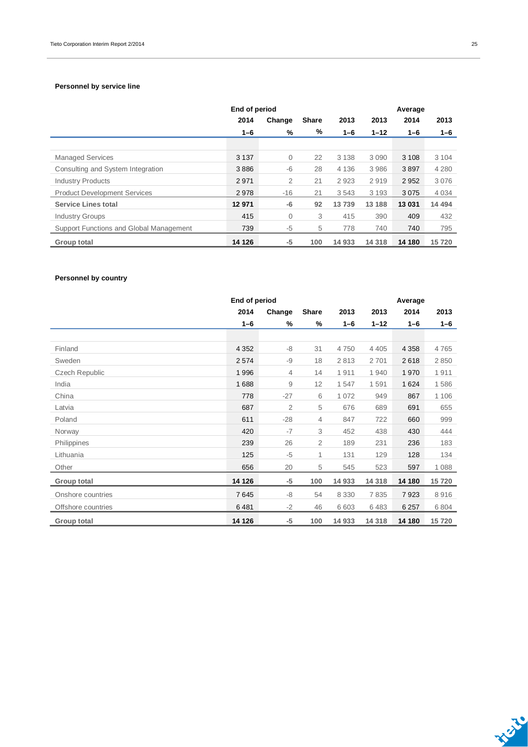#### **Personnel by service line**

|                                         |         | End of period  |              |         |          | Average |         |
|-----------------------------------------|---------|----------------|--------------|---------|----------|---------|---------|
|                                         | 2014    | Change         | <b>Share</b> | 2013    | 2013     | 2014    | 2013    |
|                                         | $1 - 6$ | %              | %            | $1 - 6$ | $1 - 12$ | $1 - 6$ | $1 - 6$ |
|                                         |         |                |              |         |          |         |         |
| <b>Managed Services</b>                 | 3 1 3 7 | $\overline{0}$ | 22           | 3 1 3 8 | 3 0 9 0  | 3 1 0 8 | 3 1 0 4 |
| Consulting and System Integration       | 3886    | $-6$           | 28           | 4 1 3 6 | 3986     | 3897    | 4 2 8 0 |
| <b>Industry Products</b>                | 2971    | $\overline{2}$ | 21           | 2923    | 2919     | 2952    | 3076    |
| <b>Product Development Services</b>     | 2978    | $-16$          | 21           | 3543    | 3 1 9 3  | 3075    | 4 0 3 4 |
| <b>Service Lines total</b>              | 12 971  | -6             | 92           | 13739   | 13 188   | 13 031  | 14 494  |
| <b>Industry Groups</b>                  | 415     | 0              | 3            | 415     | 390      | 409     | 432     |
| Support Functions and Global Management | 739     | -5             | 5            | 778     | 740      | 740     | 795     |
| <b>Group total</b>                      | 14 126  | -5             | 100          | 14 933  | 14 3 18  | 14 180  | 15 720  |

### **Personnel by country**

|                       | End of period |        |              |         | Average  |         |         |
|-----------------------|---------------|--------|--------------|---------|----------|---------|---------|
|                       | 2014          | Change | <b>Share</b> | 2013    | 2013     | 2014    | 2013    |
|                       | $1 - 6$       | %      | %            | $1 - 6$ | $1 - 12$ | $1 - 6$ | $1 - 6$ |
|                       |               |        |              |         |          |         |         |
| Finland               | 4 3 5 2       | $-8$   | 31           | 4750    | 4 4 0 5  | 4 3 5 8 | 4765    |
| Sweden                | 2574          | $-9$   | 18           | 2813    | 2701     | 2618    | 2850    |
| <b>Czech Republic</b> | 1996          | 4      | 14           | 1911    | 1940     | 1970    | 1911    |
| India                 | 1688          | 9      | 12           | 1547    | 1591     | 1 6 2 4 | 1586    |
| China                 | 778           | $-27$  | 6            | 1 0 7 2 | 949      | 867     | 1 1 0 6 |
| Latvia                | 687           | 2      | 5            | 676     | 689      | 691     | 655     |
| Poland                | 611           | $-28$  | 4            | 847     | 722      | 660     | 999     |
| Norway                | 420           | $-7$   | 3            | 452     | 438      | 430     | 444     |
| Philippines           | 239           | 26     | 2            | 189     | 231      | 236     | 183     |
| Lithuania             | 125           | $-5$   | 1            | 131     | 129      | 128     | 134     |
| Other                 | 656           | 20     | 5            | 545     | 523      | 597     | 1 0 8 8 |
| Group total           | 14 126        | $-5$   | 100          | 14 933  | 14 3 18  | 14 180  | 15720   |
| Onshore countries     | 7645          | $-8$   | 54           | 8 3 3 0 | 7835     | 7923    | 8916    |
| Offshore countries    | 6481          | $-2$   | 46           | 6 6 0 3 | 6483     | 6 2 5 7 | 6804    |
| Group total           | 14 126        | $-5$   | 100          | 14 933  | 14 3 18  | 14 180  | 15720   |



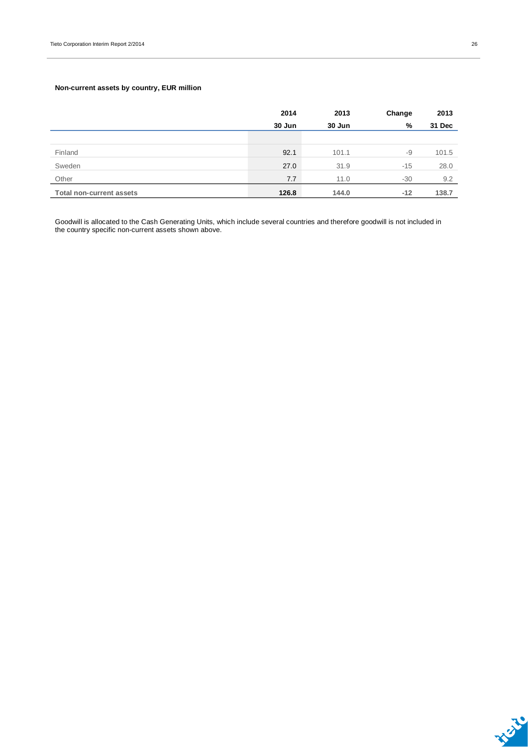### **Non-current assets by country, EUR million**

|                                 | 2014   | 2013   | Change | 2013   |
|---------------------------------|--------|--------|--------|--------|
|                                 | 30 Jun | 30 Jun | %      | 31 Dec |
|                                 |        |        |        |        |
| Finland                         | 92.1   | 101.1  | -9     | 101.5  |
| Sweden                          | 27.0   | 31.9   | $-15$  | 28.0   |
| Other                           | 7.7    | 11.0   | $-30$  | 9.2    |
| <b>Total non-current assets</b> | 126.8  | 144.0  | $-12$  | 138.7  |

Goodwill is allocated to the Cash Generating Units, which include several countries and therefore goodwill is not included in the country specific non-current assets shown above.

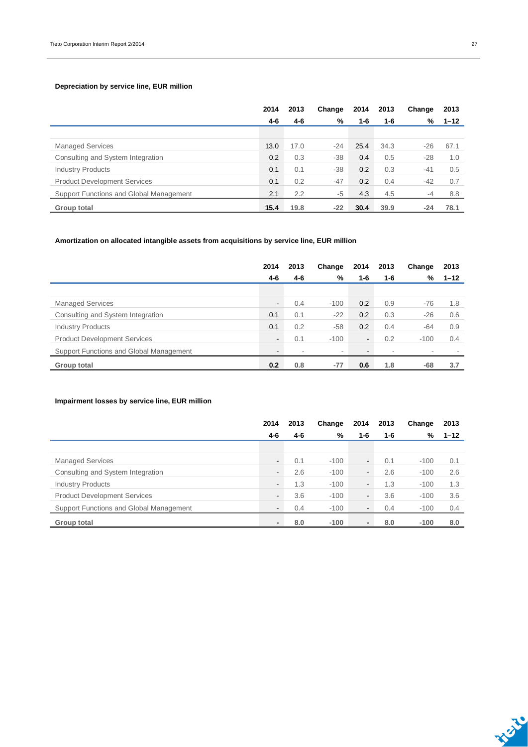### **Depreciation by service line, EUR million**

|                                         | 2014 | 2013 | Change | 2014 | 2013 | Change | 2013     |
|-----------------------------------------|------|------|--------|------|------|--------|----------|
|                                         | 4-6  | 4-6  | %      | 1-6  | 1-6  | %      | $1 - 12$ |
|                                         |      |      |        |      |      |        |          |
| <b>Managed Services</b>                 | 13.0 | 17.0 | $-24$  | 25.4 | 34.3 | $-26$  | 67.1     |
| Consulting and System Integration       | 0.2  | 0.3  | $-38$  | 0.4  | 0.5  | $-28$  | 1.0      |
| <b>Industry Products</b>                | 0.1  | 0.1  | $-38$  | 0.2  | 0.3  | $-41$  | 0.5      |
| <b>Product Development Services</b>     | 0.1  | 0.2  | $-47$  | 0.2  | 0.4  | -42    | 0.7      |
| Support Functions and Global Management | 2.1  | 2.2  | $-5$   | 4.3  | 4.5  | $-4$   | 8.8      |
| Group total                             | 15.4 | 19.8 | $-22$  | 30.4 | 39.9 | $-24$  | 78.1     |

### **Amortization on allocated intangible assets from acquisitions by service line, EUR million**

|                                         | 2014                     | 2013 | Change                   | 2014           | 2013                     | Change | 2013     |
|-----------------------------------------|--------------------------|------|--------------------------|----------------|--------------------------|--------|----------|
|                                         | 4-6                      | 4-6  | %                        | 1-6            | $1 - 6$                  | %      | $1 - 12$ |
|                                         |                          |      |                          |                |                          |        |          |
| <b>Managed Services</b>                 | $\overline{\phantom{0}}$ | 0.4  | $-100$                   | 0.2            | 0.9                      | $-76$  | 1.8      |
| Consulting and System Integration       | 0.1                      | 0.1  | $-22$                    | 0.2            | 0.3                      | $-26$  | 0.6      |
| <b>Industry Products</b>                | 0.1                      | 0.2  | $-58$                    | 0.2            | 0.4                      | $-64$  | 0.9      |
| <b>Product Development Services</b>     | -                        | 0.1  | $-100$                   | $\blacksquare$ | 0.2                      | $-100$ | 0.4      |
| Support Functions and Global Management | $\overline{\phantom{a}}$ |      | $\overline{\phantom{a}}$ | ۰              | $\overline{\phantom{a}}$ |        |          |
| Group total                             | 0.2                      | 0.8  | $-77$                    | 0.6            | 1.8                      | -68    | 3.7      |

### **Impairment losses by service line, EUR million**

|                                         | 2014                     | 2013 | Change | 2014           | 2013 | Change | 2013     |
|-----------------------------------------|--------------------------|------|--------|----------------|------|--------|----------|
|                                         | 4-6                      | 4-6  | %      | 1-6            | 1-6  | %      | $1 - 12$ |
|                                         |                          |      |        |                |      |        |          |
| <b>Managed Services</b>                 | $\blacksquare$           | 0.1  | $-100$ | $\sim$         | 0.1  | $-100$ | 0.1      |
| Consulting and System Integration       | $\blacksquare$           | 2.6  | $-100$ | $\blacksquare$ | 2.6  | $-100$ | 2.6      |
| <b>Industry Products</b>                | $\blacksquare$           | 1.3  | $-100$ | $\blacksquare$ | 1.3  | $-100$ | 1.3      |
| <b>Product Development Services</b>     | $\blacksquare$           | 3.6  | $-100$ | $\sim$         | 3.6  | $-100$ | 3.6      |
| Support Functions and Global Management | $\overline{\phantom{a}}$ | 0.4  | $-100$ | $\blacksquare$ | 0.4  | $-100$ | 0.4      |
| Group total                             | $\blacksquare$           | 8.0  | $-100$ | $\blacksquare$ | 8.0  | $-100$ | 8.0      |

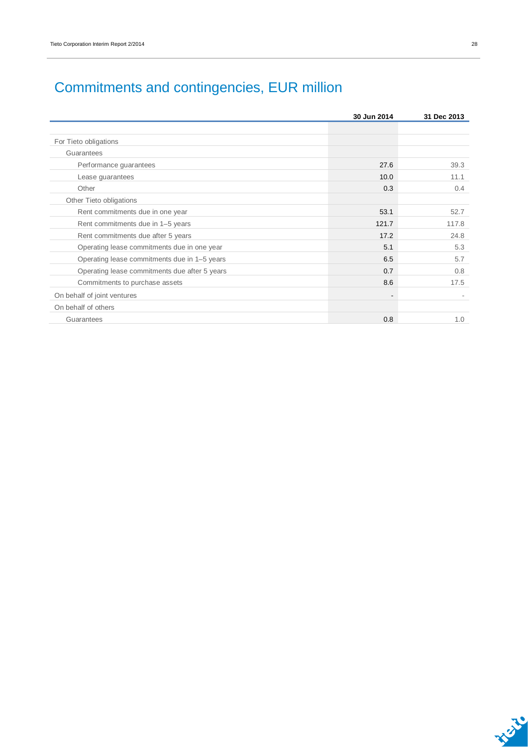## Commitments and contingencies, EUR million

|                                               | 30 Jun 2014 | 31 Dec 2013 |
|-----------------------------------------------|-------------|-------------|
|                                               |             |             |
| For Tieto obligations                         |             |             |
| Guarantees                                    |             |             |
| Performance guarantees                        | 27.6        | 39.3        |
| Lease guarantees                              | 10.0        | 11.1        |
| Other                                         | 0.3         | 0.4         |
| Other Tieto obligations                       |             |             |
| Rent commitments due in one year              | 53.1        | 52.7        |
| Rent commitments due in 1-5 years             | 121.7       | 117.8       |
| Rent commitments due after 5 years            | 17.2        | 24.8        |
| Operating lease commitments due in one year   | 5.1         | 5.3         |
| Operating lease commitments due in 1-5 years  | 6.5         | 5.7         |
| Operating lease commitments due after 5 years | 0.7         | 0.8         |
| Commitments to purchase assets                | 8.6         | 17.5        |
| On behalf of joint ventures                   |             |             |
| On behalf of others                           |             |             |
| Guarantees                                    | 0.8         | 1.0         |

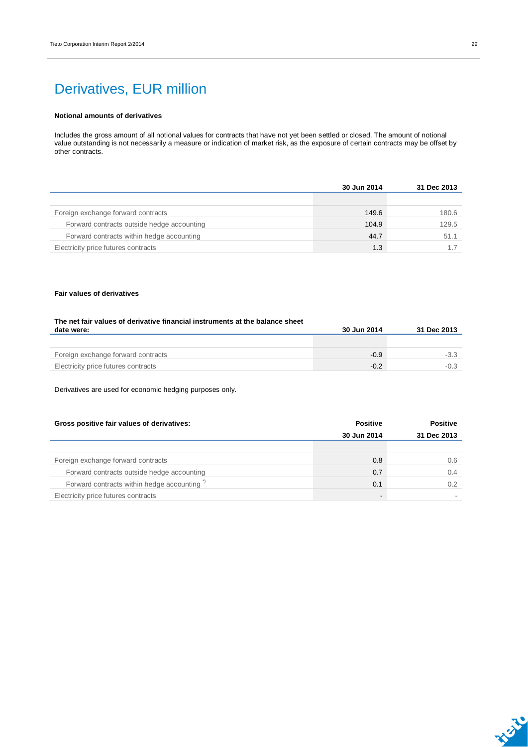## Derivatives, EUR million

#### **Notional amounts of derivatives**

Includes the gross amount of all notional values for contracts that have not yet been settled or closed. The amount of notional value outstanding is not necessarily a measure or indication of market risk, as the exposure of certain contracts may be offset by other contracts.

|                                            | 30 Jun 2014 | 31 Dec 2013 |
|--------------------------------------------|-------------|-------------|
|                                            |             |             |
| Foreign exchange forward contracts         | 149.6       | 180.6       |
| Forward contracts outside hedge accounting | 104.9       | 129.5       |
| Forward contracts within hedge accounting  | 44.7        | 51.1        |
| Electricity price futures contracts        | 1.3         |             |

#### **Fair values of derivatives**

| The net fair values of derivative financial instruments at the balance sheet |             |             |
|------------------------------------------------------------------------------|-------------|-------------|
| date were:                                                                   | 30 Jun 2014 | 31 Dec 2013 |
|                                                                              |             |             |
|                                                                              |             |             |
| Foreign exchange forward contracts                                           | $-0.9$      | $-3.3$      |
| Electricity price futures contracts                                          | $-0.2$      | $-0.3$      |

Derivatives are used for economic hedging purposes only.

| Gross positive fair values of derivatives:             | <b>Positive</b>          | <b>Positive</b> |
|--------------------------------------------------------|--------------------------|-----------------|
|                                                        | 30 Jun 2014              | 31 Dec 2013     |
|                                                        |                          |                 |
| Foreign exchange forward contracts                     | 0.8                      | 0.6             |
| Forward contracts outside hedge accounting             | 0.7                      | 0.4             |
| Forward contracts within hedge accounting <sup>"</sup> | 0.1                      | 0.2             |
| Electricity price futures contracts                    | $\overline{\phantom{0}}$ |                 |

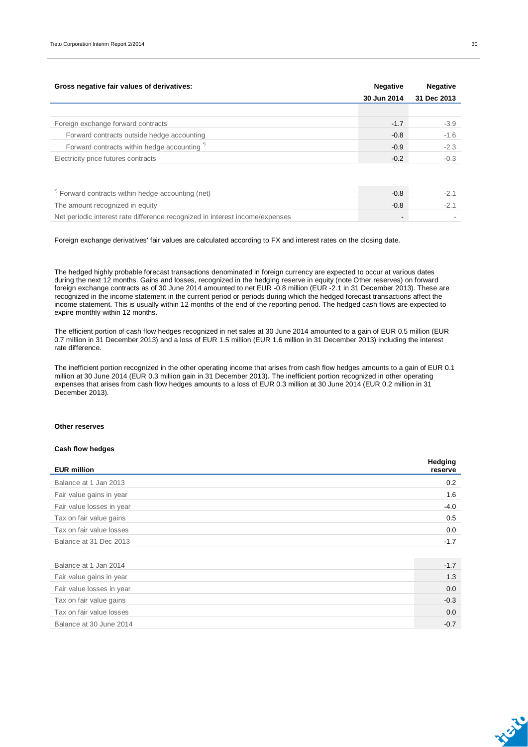| Gross negative fair values of derivatives:                   | <b>Negative</b> | <b>Negative</b> |
|--------------------------------------------------------------|-----------------|-----------------|
|                                                              | 30 Jun 2014     | 31 Dec 2013     |
|                                                              |                 |                 |
| Foreign exchange forward contracts                           | $-1.7$          | $-3.9$          |
| Forward contracts outside hedge accounting                   | $-0.8$          | $-1.6$          |
| Forward contracts within hedge accounting <sup>"</sup>       | $-0.9$          | $-2.3$          |
| Electricity price futures contracts                          | $-0.2$          | $-0.3$          |
|                                                              |                 |                 |
| <sup>"</sup> Forward contracts within hedge accounting (net) | $-0.8$          | $-2.1$          |

The amount recognized in equity  $-2.1$ Net periodic interest rate difference recognized in interest income/expenses and a state of the state of the state of the state of the state of the state of the state of the state of the state of the state of the state of

Foreign exchange derivatives' fair values are calculated according to FX and interest rates on the closing date.

The hedged highly probable forecast transactions denominated in foreign currency are expected to occur at various dates during the next 12 months. Gains and losses, recognized in the hedging reserve in equity (note Other reserves) on forward foreign exchange contracts as of 30 June 2014 amounted to net EUR -0.8 million (EUR -2.1 in 31 December 2013). These are recognized in the income statement in the current period or periods during which the hedged forecast transactions affect the income statement. This is usually within 12 months of the end of the reporting period. The hedged cash flows are expected to expire monthly within 12 months.

The efficient portion of cash flow hedges recognized in net sales at 30 June 2014 amounted to a gain of EUR 0.5 million (EUR 0.7 million in 31 December 2013) and a loss of EUR 1.5 million (EUR 1.6 million in 31 December 2013) including the interest rate difference.

The inefficient portion recognized in the other operating income that arises from cash flow hedges amounts to a gain of EUR 0.1 million at 30 June 2014 (EUR 0.3 million gain in 31 December 2013). The inefficient portion recognized in other operating expenses that arises from cash flow hedges amounts to a loss of EUR 0.3 million at 30 June 2014 (EUR 0.2 million in 31 December 2013).

#### **Other reserves**

#### **Cash flow hedges**

| <b>EUR million</b>        | <b>Heaging</b><br>reserve |
|---------------------------|---------------------------|
| Balance at 1 Jan 2013     | 0.2                       |
| Fair value gains in year  | 1.6                       |
| Fair value losses in year | $-4.0$                    |
| Tax on fair value gains   | 0.5                       |
| Tax on fair value losses  | 0.0                       |
| Balance at 31 Dec 2013    | $-1.7$                    |
|                           |                           |
| Balance at 1 Jan 2014     | $-1.7$                    |
| Fair value gains in year  | 1.3                       |
| Fair value losses in year | 0.0                       |
| Tax on fair value gains   | $-0.3$                    |
| Tax on fair value losses  | 0.0                       |
| Balance at 30 June 2014   | $-0.7$                    |



**Hedging**

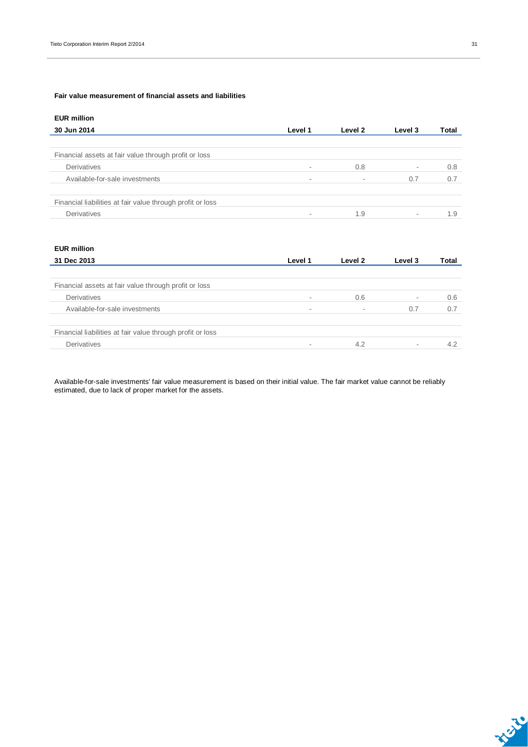#### **Fair value measurement of financial assets and liabilities**

| <b>EUR million</b>                                         |         |         |                          |       |
|------------------------------------------------------------|---------|---------|--------------------------|-------|
| 30 Jun 2014                                                | Level 1 | Level 2 | Level 3                  | Total |
|                                                            |         |         |                          |       |
| Financial assets at fair value through profit or loss      |         |         |                          |       |
| Derivatives                                                |         | 0.8     | $\overline{\phantom{a}}$ | 0.8   |
| Available-for-sale investments                             | $\sim$  |         | 0.7                      | 0.7   |
| Financial liabilities at fair value through profit or loss |         |         |                          |       |
| Derivatives                                                |         | 1.9     | $\overline{\phantom{a}}$ | 1.9   |
|                                                            |         |         |                          |       |

| <b>EUR million</b>                                         |                          |         |                          |       |
|------------------------------------------------------------|--------------------------|---------|--------------------------|-------|
| 31 Dec 2013                                                | Level 1                  | Level 2 | Level 3                  | Total |
|                                                            |                          |         |                          |       |
| Financial assets at fair value through profit or loss      |                          |         |                          |       |
| Derivatives                                                | $\overline{\phantom{a}}$ | 0.6     | $\overline{\phantom{a}}$ | 0.6   |
| Available-for-sale investments                             | $\overline{\phantom{a}}$ | ۰       | 0.7                      | 0.7   |
| Financial liabilities at fair value through profit or loss |                          |         |                          |       |
| Derivatives                                                | $\sim$                   | 4.2     | $\sim$                   | 4.2   |

Available-for-sale investments' fair value measurement is based on their initial value. The fair market value cannot be reliably estimated, due to lack of proper market for the assets.

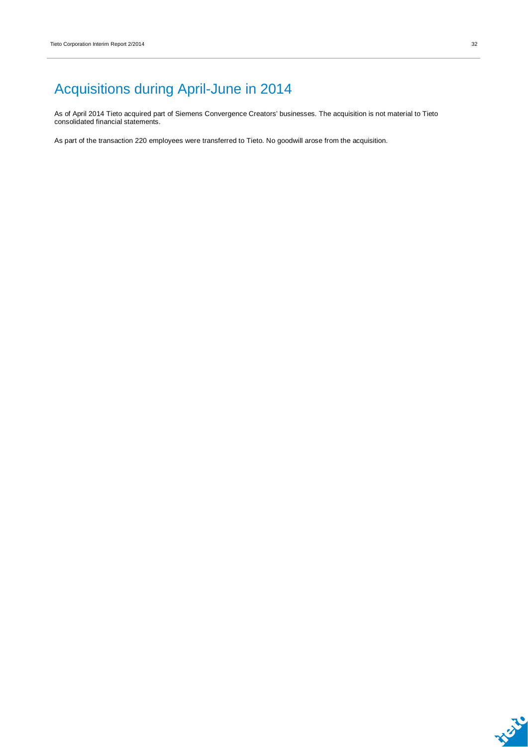# Acquisitions during April-June in 2014

As of April 2014 Tieto acquired part of Siemens Convergence Creators' businesses. The acquisition is not material to Tieto consolidated financial statements.

As part of the transaction 220 employees were transferred to Tieto. No goodwill arose from the acquisition.

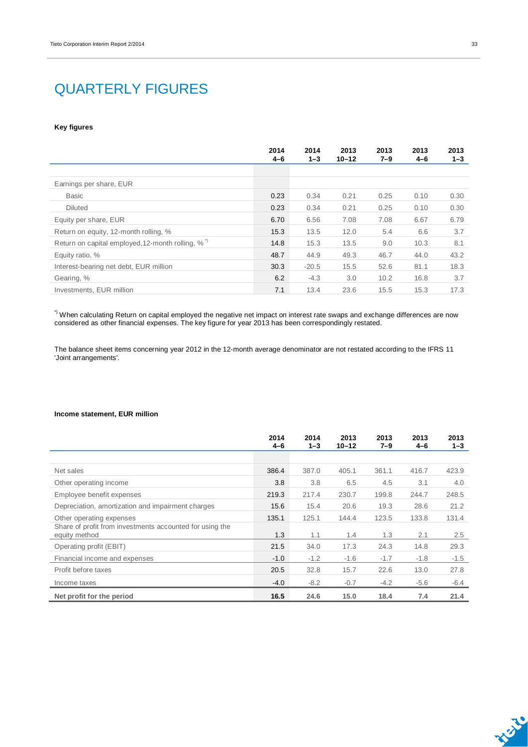## QUARTERLY FIGURES

#### **Key figures**

|                                                              | 2014<br>$4 - 6$ | 2014<br>$1 - 3$ | 2013<br>$10 - 12$ | 2013<br>$7 - 9$ | 2013<br>$4 - 6$ | 2013<br>$1 - 3$ |
|--------------------------------------------------------------|-----------------|-----------------|-------------------|-----------------|-----------------|-----------------|
|                                                              |                 |                 |                   |                 |                 |                 |
| Earnings per share, EUR                                      |                 |                 |                   |                 |                 |                 |
| <b>Basic</b>                                                 | 0.23            | 0.34            | 0.21              | 0.25            | 0.10            | 0.30            |
| <b>Diluted</b>                                               | 0.23            | 0.34            | 0.21              | 0.25            | 0.10            | 0.30            |
| Equity per share, EUR                                        | 6.70            | 6.56            | 7.08              | 7.08            | 6.67            | 6.79            |
| Return on equity, 12-month rolling, %                        | 15.3            | 13.5            | 12.0              | 5.4             | 6.6             | 3.7             |
| Return on capital employed, 12-month rolling, % <sup>"</sup> | 14.8            | 15.3            | 13.5              | 9.0             | 10.3            | 8.1             |
| Equity ratio, %                                              | 48.7            | 44.9            | 49.3              | 46.7            | 44.0            | 43.2            |
| Interest-bearing net debt, EUR million                       | 30.3            | $-20.5$         | 15.5              | 52.6            | 81.1            | 18.3            |
| Gearing, %                                                   | 6.2             | $-4.3$          | 3.0               | 10.2            | 16.8            | 3.7             |
| Investments, EUR million                                     | 7.1             | 13.4            | 23.6              | 15.5            | 15.3            | 17.3            |

 $^{\circ}$  When calculating Return on capital employed the negative net impact on interest rate swaps and exchange differences are now considered as other financial expenses. The key figure for year 2013 has been correspondingly restated.

The balance sheet items concerning year 2012 in the 12-month average denominator are not restated according to the IFRS 11 'Joint arrangements'.

#### **Income statement, EUR million**

|                                                                           | 2014<br>$4 - 6$ | 2014<br>$1 - 3$ | 2013<br>$10 - 12$ | 2013<br>$7 - 9$ | 2013<br>$4 - 6$ | 2013<br>$1 - 3$ |
|---------------------------------------------------------------------------|-----------------|-----------------|-------------------|-----------------|-----------------|-----------------|
|                                                                           |                 |                 |                   |                 |                 |                 |
| Net sales                                                                 | 386.4           | 387.0           | 405.1             | 361.1           | 416.7           | 423.9           |
| Other operating income                                                    | 3.8             | 3.8             | 6.5               | 4.5             | 3.1             | 4.0             |
| Employee benefit expenses                                                 | 219.3           | 217.4           | 230.7             | 199.8           | 244.7           | 248.5           |
| Depreciation, amortization and impairment charges                         | 15.6            | 15.4            | 20.6              | 19.3            | 28.6            | 21.2            |
| Other operating expenses                                                  | 135.1           | 125.1           | 144.4             | 123.5           | 133.8           | 131.4           |
| Share of profit from investments accounted for using the<br>equity method | 1.3             | 1.1             | 1.4               | 1.3             | 2.1             | 2.5             |
| Operating profit (EBIT)                                                   | 21.5            | 34.0            | 17.3              | 24.3            | 14.8            | 29.3            |
| Financial income and expenses                                             | $-1.0$          | $-1.2$          | $-1.6$            | $-1.7$          | $-1.8$          | $-1.5$          |
| Profit before taxes                                                       | 20.5            | 32.8            | 15.7              | 22.6            | 13.0            | 27.8            |
| Income taxes                                                              | $-4.0$          | $-8.2$          | $-0.7$            | $-4.2$          | $-5.6$          | $-6.4$          |
| Net profit for the period                                                 | 16.5            | 24.6            | 15.0              | 18.4            | 7.4             | 21.4            |

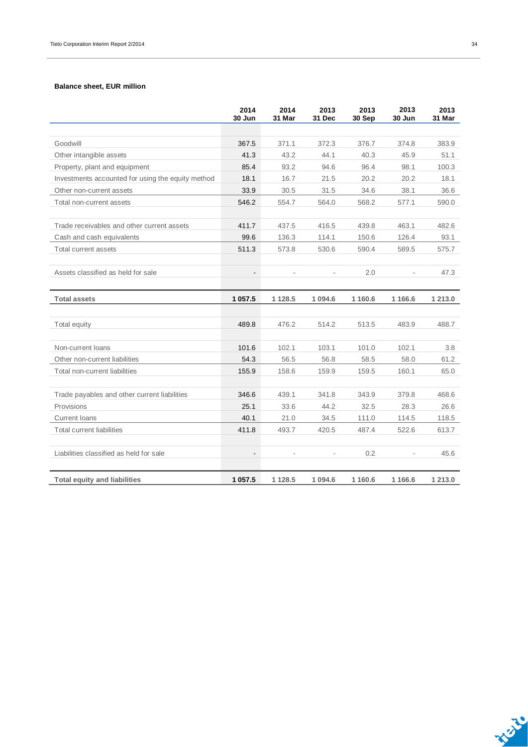#### **Balance sheet, EUR million**

|                                                   | 2014<br>30 Jun           | 2014<br>31 Mar | 2013<br>31 Dec | 2013<br>30 Sep | 2013<br>30 Jun | 2013<br>31 Mar |
|---------------------------------------------------|--------------------------|----------------|----------------|----------------|----------------|----------------|
|                                                   |                          |                |                |                |                |                |
| Goodwill                                          | 367.5                    | 371.1          | 372.3          | 376.7          | 374.8          | 383.9          |
| Other intangible assets                           | 41.3                     | 43.2           | 44.1           | 40.3           | 45.9           | 51.1           |
| Property, plant and equipment                     | 85.4                     | 93.2           | 94.6           | 96.4           | 98.1           | 100.3          |
| Investments accounted for using the equity method | 18.1                     | 16.7           | 21.5           | 20.2           | 20.2           | 18.1           |
| Other non-current assets                          | 33.9                     | 30.5           | 31.5           | 34.6           | 38.1           | 36.6           |
| Total non-current assets                          | 546.2                    | 554.7          | 564.0          | 568.2          | 577.1          | 590.0          |
| Trade receivables and other current assets        | 411.7                    | 437.5          | 416.5          | 439.8          | 463.1          | 482.6          |
| Cash and cash equivalents                         | 99.6                     | 136.3          | 114.1          | 150.6          | 126.4          | 93.1           |
| Total current assets                              | 511.3                    | 573.8          | 530.6          | 590.4          | 589.5          | 575.7          |
|                                                   |                          |                |                |                |                |                |
| Assets classified as held for sale                | $\overline{\phantom{a}}$ |                |                | 2.0            |                | 47.3           |
|                                                   |                          |                |                |                |                |                |
| <b>Total assets</b>                               | 1 057.5                  | 1 1 2 8.5      | 1 0 9 4 . 6    | 1 160.6        | 1 1 6 6.6      | 1 213.0        |
|                                                   |                          |                |                |                |                |                |
| Total equity                                      | 489.8                    | 476.2          | 514.2          | 513.5          | 483.9          | 488.7          |
|                                                   |                          |                |                |                |                |                |
| Non-current loans                                 | 101.6                    | 102.1          | 103.1          | 101.0          | 102.1          | 3.8            |
| Other non-current liabilities                     | 54.3                     | 56.5           | 56.8           | 58.5           | 58.0           | 61.2           |
| Total non-current liabilities                     | 155.9                    | 158.6          | 159.9          | 159.5          | 160.1          | 65.0           |
|                                                   |                          |                |                |                |                |                |
| Trade payables and other current liabilities      | 346.6                    | 439.1          | 341.8          | 343.9          | 379.8          | 468.6          |
| Provisions                                        | 25.1                     | 33.6           | 44.2           | 32.5           | 28.3           | 26.6           |
| <b>Current loans</b>                              | 40.1                     | 21.0           | 34.5           | 111.0          | 114.5          | 118.5          |
| <b>Total current liabilities</b>                  | 411.8                    | 493.7          | 420.5          | 487.4          | 522.6          | 613.7          |
|                                                   |                          |                |                |                |                |                |
| Liabilities classified as held for sale           | $\overline{\phantom{a}}$ |                |                | 0.2            |                | 45.6           |
|                                                   |                          |                |                |                |                |                |
| <b>Total equity and liabilities</b>               | 1 0 5 7.5                | 1 1 28.5       | 1 0 9 4.6      | 1 160.6        | 1 1 66.6       | 1 213.0        |

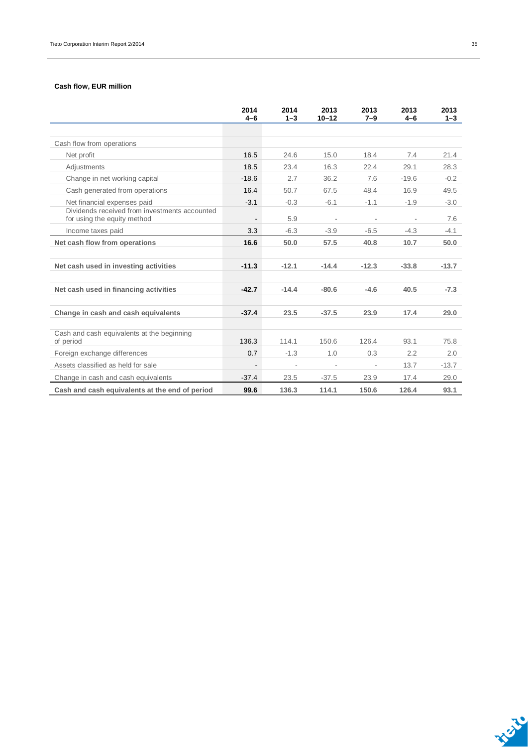### **Cash flow, EUR million**

|                                                                              | 2014<br>$4 - 6$ | 2014<br>$1 - 3$ | 2013<br>$10 - 12$ | 2013<br>$7 - 9$ | 2013<br>$4 - 6$ | 2013<br>$1 - 3$ |
|------------------------------------------------------------------------------|-----------------|-----------------|-------------------|-----------------|-----------------|-----------------|
|                                                                              |                 |                 |                   |                 |                 |                 |
| Cash flow from operations                                                    |                 |                 |                   |                 |                 |                 |
| Net profit                                                                   | 16.5            | 24.6            | 15.0              | 18.4            | 7.4             | 21.4            |
| Adjustments                                                                  | 18.5            | 23.4            | 16.3              | 22.4            | 29.1            | 28.3            |
| Change in net working capital                                                | $-18.6$         | 2.7             | 36.2              | 7.6             | $-19.6$         | $-0.2$          |
| Cash generated from operations                                               | 16.4            | 50.7            | 67.5              | 48.4            | 16.9            | 49.5            |
| Net financial expenses paid                                                  | $-3.1$          | $-0.3$          | $-6.1$            | $-1.1$          | $-1.9$          | $-3.0$          |
| Dividends received from investments accounted<br>for using the equity method |                 | 5.9             |                   |                 |                 | 7.6             |
| Income taxes paid                                                            | 3.3             | $-6.3$          | $-3.9$            | $-6.5$          | $-4.3$          | $-4.1$          |
| Net cash flow from operations                                                | 16.6            | 50.0            | 57.5              | 40.8            | 10.7            | 50.0            |
|                                                                              |                 |                 |                   |                 |                 |                 |
| Net cash used in investing activities                                        | $-11.3$         | $-12.1$         | $-14.4$           | $-12.3$         | $-33.8$         | $-13.7$         |
|                                                                              |                 |                 |                   |                 |                 |                 |
| Net cash used in financing activities                                        | $-42.7$         | $-14.4$         | $-80.6$           | $-4.6$          | 40.5            | $-7.3$          |
|                                                                              |                 |                 |                   |                 |                 |                 |
| Change in cash and cash equivalents                                          | $-37.4$         | 23.5            | $-37.5$           | 23.9            | 17.4            | 29.0            |
|                                                                              |                 |                 |                   |                 |                 |                 |
| Cash and cash equivalents at the beginning<br>of period                      | 136.3           | 114.1           | 150.6             | 126.4           | 93.1            | 75.8            |
| Foreign exchange differences                                                 | 0.7             | $-1.3$          | 1.0               | 0.3             | 2.2             | 2.0             |
| Assets classified as held for sale                                           |                 |                 |                   |                 | 13.7            | $-13.7$         |
| Change in cash and cash equivalents                                          | $-37.4$         | 23.5            | $-37.5$           | 23.9            | 17.4            | 29.0            |
| Cash and cash equivalents at the end of period                               | 99.6            | 136.3           | 114.1             | 150.6           | 126.4           | 93.1            |

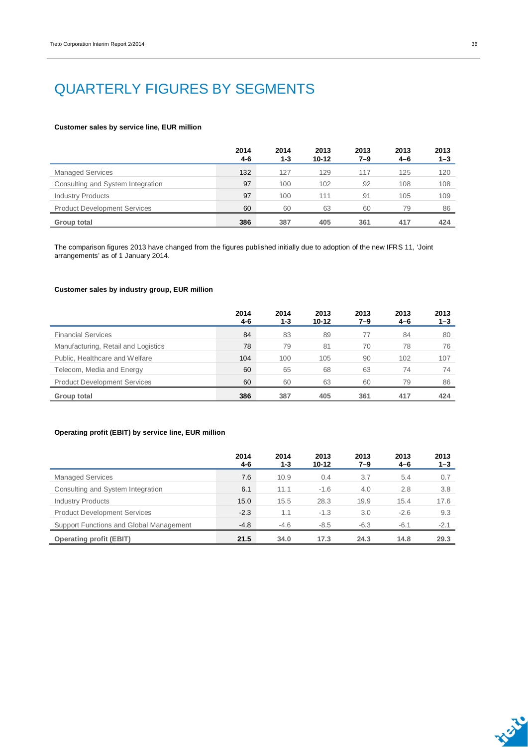## QUARTERLY FIGURES BY SEGMENTS

#### **Customer sales by service line, EUR million**

|                                     | 2014<br>4-6 | 2014<br>$1 - 3$ | 2013<br>$10 - 12$ | 2013<br>7–9 | 2013<br>4-6 | 2013<br>$1 - 3$ |
|-------------------------------------|-------------|-----------------|-------------------|-------------|-------------|-----------------|
| <b>Managed Services</b>             | 132         | 127             | 129               | 117         | 125         | 120             |
| Consulting and System Integration   | 97          | 100             | 102               | 92          | 108         | 108             |
| <b>Industry Products</b>            | 97          | 100             | 111               | 91          | 105         | 109             |
| <b>Product Development Services</b> | 60          | 60              | 63                | 60          | 79          | 86              |
| Group total                         | 386         | 387             | 405               | 361         | 417         | 424             |

The comparison figures 2013 have changed from the figures published initially due to adoption of the new IFRS 11, 'Joint arrangements' as of 1 January 2014.

#### **Customer sales by industry group, EUR million**

|                                     | 2014<br>4-6 | 2014<br>1-3 | 2013<br>$10 - 12$ | 2013<br>$7 - 9$ | 2013<br>$4 - 6$ | 2013<br>$1 - 3$ |
|-------------------------------------|-------------|-------------|-------------------|-----------------|-----------------|-----------------|
| <b>Financial Services</b>           | 84          | 83          | 89                | 77              | 84              | 80              |
| Manufacturing, Retail and Logistics | 78          | 79          | 81                | 70              | 78              | 76              |
| Public, Healthcare and Welfare      | 104         | 100         | 105               | 90              | 102             | 107             |
| Telecom, Media and Energy           | 60          | 65          | 68                | 63              | 74              | 74              |
| <b>Product Development Services</b> | 60          | 60          | 63                | 60              | 79              | 86              |
| Group total                         | 386         | 387         | 405               | 361             | 417             | 424             |

### **Operating profit (EBIT) by service line, EUR million**

|                                         | 2014<br>4-6 | 2014<br>$1 - 3$ | 2013<br>10-12 | 2013<br>7–9 | 2013<br>$4 - 6$ | 2013<br>$1 - 3$ |
|-----------------------------------------|-------------|-----------------|---------------|-------------|-----------------|-----------------|
| <b>Managed Services</b>                 | 7.6         | 10.9            | 0.4           | 3.7         | 5.4             | 0.7             |
| Consulting and System Integration       | 6.1         | 11.1            | $-1.6$        | 4.0         | 2.8             | 3.8             |
| <b>Industry Products</b>                | 15.0        | 15.5            | 28.3          | 19.9        | 15.4            | 17.6            |
| <b>Product Development Services</b>     | $-2.3$      | 1.1             | $-1.3$        | 3.0         | $-2.6$          | 9.3             |
| Support Functions and Global Management | $-4.8$      | $-4.6$          | $-8.5$        | $-6.3$      | $-6.1$          | $-2.1$          |
| <b>Operating profit (EBIT)</b>          | 21.5        | 34.0            | 17.3          | 24.3        | 14.8            | 29.3            |

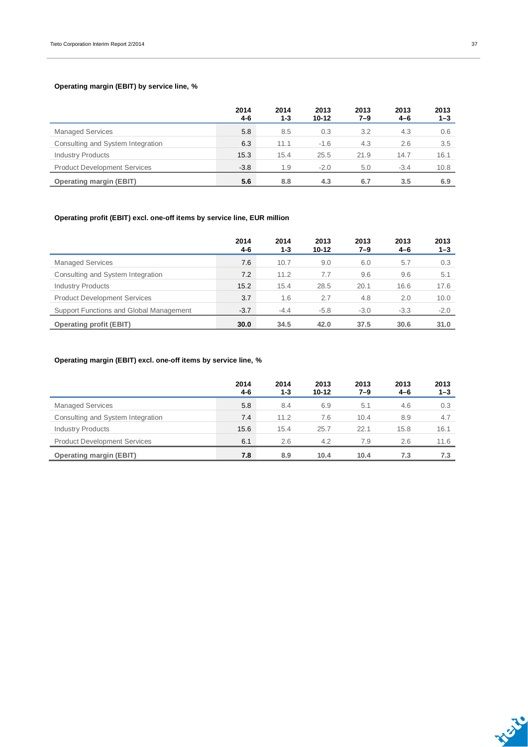### **Operating margin (EBIT) by service line, %**

|                                     | 2014<br>$4 - 6$ | 2014<br>$1 - 3$ | 2013<br>$10 - 12$ | 2013<br>7–9 | 2013<br>$4 - 6$ | 2013<br>$1 - 3$ |
|-------------------------------------|-----------------|-----------------|-------------------|-------------|-----------------|-----------------|
| <b>Managed Services</b>             | 5.8             | 8.5             | 0.3               | 3.2         | 4.3             | 0.6             |
| Consulting and System Integration   | 6.3             | 11.1            | $-1.6$            | 4.3         | 2.6             | 3.5             |
| <b>Industry Products</b>            | 15.3            | 15.4            | 25.5              | 21.9        | 14.7            | 16.1            |
| <b>Product Development Services</b> | $-3.8$          | 1.9             | $-2.0$            | 5.0         | $-3.4$          | 10.8            |
| <b>Operating margin (EBIT)</b>      | 5.6             | 8.8             | 4.3               | 6.7         | 3.5             | 6.9             |

### **Operating profit (EBIT) excl. one-off items by service line, EUR million**

|                                         | 2014<br>4-6 | 2014<br>$1 - 3$ | 2013<br>10-12 | 2013<br>7–9 | 2013<br>$4 - 6$ | 2013<br>$1 - 3$ |
|-----------------------------------------|-------------|-----------------|---------------|-------------|-----------------|-----------------|
| <b>Managed Services</b>                 | 7.6         | 10.7            | 9.0           | 6.0         | 5.7             | 0.3             |
| Consulting and System Integration       | 7.2         | 11.2            | 7.7           | 9.6         | 9.6             | 5.1             |
| <b>Industry Products</b>                | 15.2        | 15.4            | 28.5          | 20.1        | 16.6            | 17.6            |
| <b>Product Development Services</b>     | 3.7         | 1.6             | 2.7           | 4.8         | 2.0             | 10.0            |
| Support Functions and Global Management | $-3.7$      | $-4.4$          | $-5.8$        | $-3.0$      | $-3.3$          | $-2.0$          |
| <b>Operating profit (EBIT)</b>          | 30.0        | 34.5            | 42.0          | 37.5        | 30.6            | 31.0            |

### **Operating margin (EBIT) excl. one-off items by service line, %**

|                                     | 2014<br>$4 - 6$ | 2014<br>1-3 | 2013<br>10-12 | 2013<br>7–9 | 2013<br>$4 - 6$ | 2013<br>$1 - 3$ |
|-------------------------------------|-----------------|-------------|---------------|-------------|-----------------|-----------------|
| <b>Managed Services</b>             | 5.8             | 8.4         | 6.9           | 5.1         | 4.6             | 0.3             |
| Consulting and System Integration   | 7.4             | 11.2        | 7.6           | 10.4        | 8.9             | 4.7             |
| <b>Industry Products</b>            | 15.6            | 15.4        | 25.7          | 22.1        | 15.8            | 16.1            |
| <b>Product Development Services</b> | 6.1             | 2.6         | 4.2           | 7.9         | 2.6             | 11.6            |
| <b>Operating margin (EBIT)</b>      | 7.8             | 8.9         | 10.4          | 10.4        | 7.3             | 7.3             |

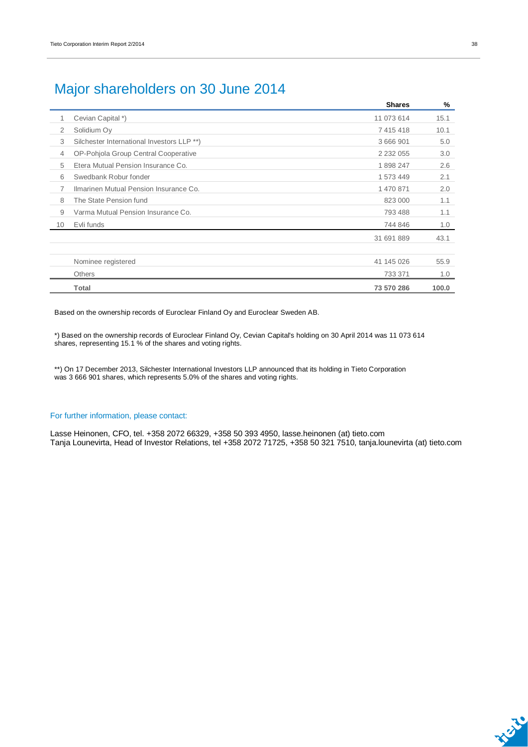## Major shareholders on 30 June 2014

|                 |                                            | <b>Shares</b> | %     |
|-----------------|--------------------------------------------|---------------|-------|
| 1               | Cevian Capital *)                          | 11 073 614    | 15.1  |
| 2               | Solidium Oy                                | 7 415 418     | 10.1  |
| 3               | Silchester International Investors LLP **) | 3 666 901     | 5.0   |
| $\overline{4}$  | OP-Pohjola Group Central Cooperative       | 2 2 3 2 0 5 5 | 3.0   |
| 5               | Etera Mutual Pension Insurance Co.         | 1898247       | 2.6   |
| 6               | Swedbank Robur fonder                      | 1 573 449     | 2.1   |
| 7               | Ilmarinen Mutual Pension Insurance Co.     | 1 470 871     | 2.0   |
| 8               | The State Pension fund                     | 823 000       | 1.1   |
| 9               | Varma Mutual Pension Insurance Co.         | 793 488       | 1.1   |
| 10 <sup>1</sup> | Evli funds                                 | 744 846       | 1.0   |
|                 |                                            | 31 691 889    | 43.1  |
|                 | Nominee registered                         | 41 145 026    | 55.9  |
|                 | <b>Others</b>                              | 733 371       | 1.0   |
|                 | Total                                      | 73 570 286    | 100.0 |

Based on the ownership records of Euroclear Finland Oy and Euroclear Sweden AB.

\*) Based on the ownership records of Euroclear Finland Oy, Cevian Capital's holding on 30 April 2014 was 11 073 614 shares, representing 15.1 % of the shares and voting rights.

\*\*) On 17 December 2013, Silchester International Investors LLP announced that its holding in Tieto Corporation was 3 666 901 shares, which represents 5.0% of the shares and voting rights.

#### For further information, please contact:

Lasse Heinonen, CFO, tel. +358 2072 66329, +358 50 393 4950, lasse.heinonen (at) tieto.com Tanja Lounevirta, Head of Investor Relations, tel +358 2072 71725, +358 50 321 7510, tanja.lounevirta (at) tieto.com

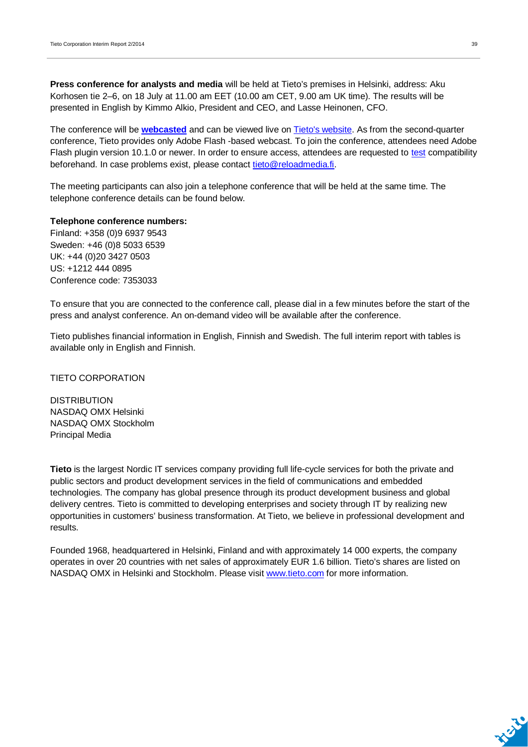**Press conference for analysts and media** will be held at Tieto's premises in Helsinki, address: Aku Korhosen tie 2–6, on 18 July at 11.00 am EET (10.00 am CET, 9.00 am UK time). The results will be presented in English by Kimmo Alkio, President and CEO, and Lasse Heinonen, CFO.

The conference will be **[webcasted](http://webcast.tieto.com/QuarterlyReport/?q=180614)** and can be viewed live on [Tieto's website.](http://www.tieto.com/investors) As from the second-quarter conference, Tieto provides only Adobe Flash -based webcast. To join the conference, attendees need Adobe Flash plugin version 10.1.0 or newer. In order to ensure access, attendees are requested to [test](http://webcast.tieto.com/flashscore/?video=S201403121637170) compatibility beforehand. In case problems exist, please contact [tieto@reloadmedia.fi.](mailto:tieto@reloadmedia.fi)

The meeting participants can also join a telephone conference that will be held at the same time. The telephone conference details can be found below.

#### **Telephone conference numbers:**

Finland: +358 (0)9 6937 9543 Sweden: +46 (0)8 5033 6539 UK: +44 (0)20 3427 0503 US: +1212 444 0895 Conference code: 7353033

To ensure that you are connected to the conference call, please dial in a few minutes before the start of the press and analyst conference. An on-demand video will be available after the conference.

Tieto publishes financial information in English, Finnish and Swedish. The full interim report with tables is available only in English and Finnish.

### TIETO CORPORATION

**DISTRIBUTION** NASDAQ OMX Helsinki NASDAQ OMX Stockholm Principal Media

**Tieto** is the largest Nordic IT services company providing full life-cycle services for both the private and public sectors and product development services in the field of communications and embedded technologies. The company has global presence through its product development business and global delivery centres. Tieto is committed to developing enterprises and society through IT by realizing new opportunities in customers' business transformation. At Tieto, we believe in professional development and results.

Founded 1968, headquartered in Helsinki, Finland and with approximately 14 000 experts, the company operates in over 20 countries with net sales of approximately EUR 1.6 billion. Tieto's shares are listed on NASDAQ OMX in Helsinki and Stockholm. Please visit [www.tieto.com](http://www.tieto.com/) for more information.